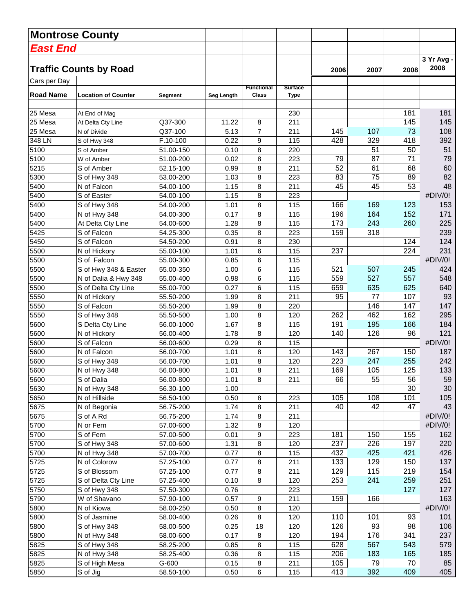|                  | <b>Montrose County</b>        |            |              |                                   |                               |      |      |      |                    |
|------------------|-------------------------------|------------|--------------|-----------------------------------|-------------------------------|------|------|------|--------------------|
| East End         |                               |            |              |                                   |                               |      |      |      |                    |
|                  | <b>Traffic Counts by Road</b> |            |              |                                   |                               | 2006 | 2007 | 2008 | 3 Yr Avg -<br>2008 |
| Cars per Day     |                               |            |              |                                   |                               |      |      |      |                    |
| <b>Road Name</b> | <b>Location of Counter</b>    | Segment    | Seg Length   | <b>Functional</b><br><b>Class</b> | <b>Surface</b><br><b>Type</b> |      |      |      |                    |
| 25 Mesa          | At End of Mag                 |            |              |                                   | 230                           |      |      | 181  | 181                |
| 25 Mesa          | At Delta Cty Line             | Q37-300    | 11.22        | 8                                 | 211                           |      |      | 145  | 145                |
| 25 Mesa          | N of Divide                   | Q37-100    | 5.13         | $\overline{7}$                    | 211                           | 145  | 107  | 73   | 108                |
| 348 LN           | S of Hwy 348                  | F.10-100   | 0.22         | 9                                 | 115                           | 428  | 329  | 418  | 392                |
| 5100             | S of Amber                    | 51.00-150  | 0.10         | 8                                 | 220                           |      | 51   | 50   | 51                 |
| 5100             | W of Amber                    | 51.00-200  | 0.02         | 8                                 | 223                           | 79   | 87   | 71   | 79                 |
| 5215             | S of Amber                    | 52.15-100  | 0.99         | 8                                 | 211                           | 52   | 61   | 68   | 60                 |
| 5300             | S of Hwy 348                  | 53.00-200  | 1.03         | 8                                 | 223                           | 83   | 75   | 89   | 82                 |
| 5400             | N of Falcon                   | 54.00-100  | 1.15         | 8                                 | 211                           | 45   | 45   | 53   | 48                 |
| 5400             | S of Easter                   | 54.00-100  | 1.15         | 8                                 | 223                           |      |      |      | #DIV/0!            |
| 5400             | S of Hwy 348                  | 54.00-200  | 1.01         | 8                                 | 115                           | 166  | 169  | 123  | 153                |
| 5400             | N of Hwy 348                  | 54.00-300  | 0.17         | 8                                 | 115                           | 196  | 164  | 152  | 171                |
| 5400             | At Delta Cty Line             | 54.00-600  | 1.28         | 8                                 | 115                           | 173  | 243  | 260  | 225                |
| 5425             | S of Falcon                   | 54.25-300  | 0.35         | 8                                 | 223                           | 159  | 318  |      | 239                |
| 5450             | S of Falcon                   | 54.50-200  | 0.91         | 8                                 | 230                           |      |      | 124  | 124                |
| 5500             | N of Hickory                  | 55.00-100  | 1.01         | 6                                 | 115                           | 237  |      | 224  | 231                |
| 5500             | S of Falcon                   | 55.00-300  | 0.85         | 6                                 | 115                           |      |      |      | #DIV/0!            |
| 5500             | S of Hwy 348 & Easter         | 55.00-350  | 1.00         | 6                                 | 115                           | 521  | 507  | 245  | 424                |
| 5500             | N of Dalia & Hwy 348          | 55.00-400  | 0.98         | 6                                 | 115                           | 559  | 527  | 557  | 548                |
| 5500             | S of Delta Cty Line           | 55.00-700  | 0.27         | 6                                 | 115                           | 659  | 635  | 625  | 640                |
| 5550             | N of Hickory                  | 55.50-200  | 1.99         | 8                                 | 211                           | 95   | 77   | 107  | 93                 |
| 5550             | S of Falcon                   | 55.50-200  | 1.99         | 8                                 | 220                           |      | 146  | 147  | 147                |
| 5550             | S of Hwy 348                  | 55.50-500  | 1.00         | 8                                 | 120                           | 262  | 462  | 162  | 295                |
| 5600             | S Delta Cty Line              | 56.00-1000 | 1.67         | 8                                 | 115                           | 191  | 195  | 166  | 184                |
| 5600             | N of Hickory                  | 56.00-400  | 1.78         | 8                                 | 120                           | 140  | 126  | 96   | 121                |
| 5600             | S of Falcon                   | 56.00-600  | 0.29         | 8                                 | 115                           |      |      |      | #DIV/0!            |
| 5600             | N of Falcon                   | 56.00-700  | 1.01         | 8                                 | 120                           | 143  | 267  | 150  | 187                |
| 5600             | S of Hwy 348                  | 56.00-700  | 1.01         | 8                                 | 120                           | 223  | 247  | 255  | 242                |
| 5600             | N of Hwy 348                  | 56.00-800  | 1.01         | 8                                 | 211                           | 169  | 105  | 125  | 133                |
| 5600             | S of Dalia                    | 56.00-800  | 1.01         | 8                                 | 211                           | 66   | 55   | 56   | 59                 |
| 5630             | N of Hwy 348                  | 56.30-100  | 1.00         |                                   |                               |      |      | 30   | 30                 |
| 5650             | N of Hillside                 | 56.50-100  | 0.50         | 8                                 | 223                           | 105  | 108  | 101  | 105                |
| 5675             | N of Begonia                  | 56.75-200  | 1.74         | 8                                 | 211                           | 40   | 42   | 47   | 43                 |
| 5675             | S of A Rd                     | 56.75-200  | 1.74         | 8                                 | 211                           |      |      |      | #DIV/0!            |
| 5700             | N or Fern                     | 57.00-600  | 1.32         | 8                                 | 120                           |      |      |      | #DIV/0!            |
| 5700             | S of Fern                     | 57.00-500  | 0.01         | 9                                 | 223                           | 181  | 150  | 155  | 162                |
| 5700             | S of Hwy 348                  | 57.00-600  | 1.31         | 8                                 | 120                           | 237  | 226  | 197  | 220                |
| 5700             | N of Hwy 348                  | 57.00-700  | 0.77         | 8                                 | 115                           | 432  | 425  | 421  | 426                |
| 5725             | N of Colorow                  | 57.25-100  | 0.77         | 8                                 | 211                           | 133  | 129  | 150  | 137                |
| 5725             | S of Blossom                  | 57.25-100  | 0.77         | 8                                 | 211                           | 129  | 115  | 219  | 154                |
| 5725             | S of Delta Cty Line           | 57.25-400  | 0.10         | 8                                 | 120                           | 253  | 241  | 259  | 251                |
| 5750             | S of Hwy 348                  | 57.50-300  | 0.76         |                                   | 223                           |      |      | 127  | 127                |
| 5790             | W of Shavano                  | 57.90-100  |              |                                   | 211                           | 159  | 166  |      | 163                |
| 5800             | N of Kiowa                    | 58.00-250  | 0.57<br>0.50 | 9<br>8                            | 120                           |      |      |      | #DIV/0!            |
| 5800             | S of Jasmine                  | 58.00-400  | 0.26         |                                   | 120                           | 110  | 101  | 93   | 101                |
| 5800             | S of Hwy 348                  | 58.00-500  | 0.25         | 8                                 | 120                           | 126  | 93   | 98   | 106                |
|                  |                               |            |              | 18                                |                               |      |      |      |                    |
| 5800             | N of Hwy 348                  | 58.00-600  | 0.17         | 8                                 | 120                           | 194  | 176  | 341  | 237                |
| 5825             | S of Hwy 348                  | 58.25-200  | 0.85         | 8                                 | 115                           | 628  | 567  | 543  | 579                |
| 5825             | N of Hwy 348                  | 58.25-400  | 0.36         | 8                                 | 115                           | 206  | 183  | 165  | 185                |
| 5825             | S of High Mesa                | G-600      | 0.15         | 8                                 | 211                           | 105  | 79   | 70   | 85                 |
| 5850             | S of Jig                      | 58.50-100  | 0.50         | 6                                 | 115                           | 413  | 392  | 409  | 405                |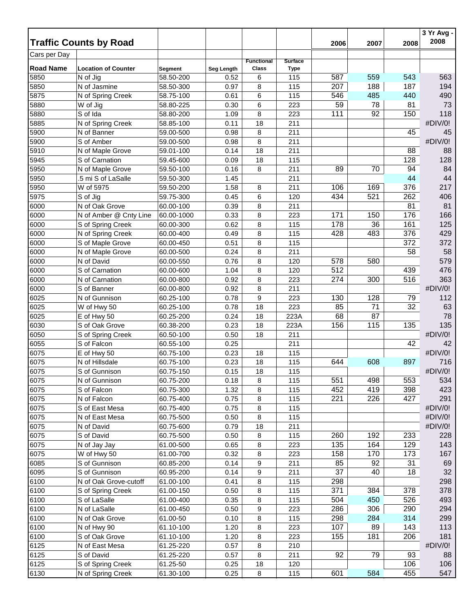|                  | <b>Traffic Counts by Road</b> |                |            |                            |                               |                 |      |      | 3 Yr Avg -<br>2008 |
|------------------|-------------------------------|----------------|------------|----------------------------|-------------------------------|-----------------|------|------|--------------------|
| Cars per Day     |                               |                |            |                            |                               | 2006            | 2007 | 2008 |                    |
| <b>Road Name</b> | <b>Location of Counter</b>    | <b>Segment</b> | Seg Length | <b>Functional</b><br>Class | <b>Surface</b><br><b>Type</b> |                 |      |      |                    |
| 5850             | N of Jig                      | 58.50-200      | 0.52       | 6                          | 115                           | 587             | 559  | 543  | 563                |
| 5850             | N of Jasmine                  | 58.50-300      | 0.97       | 8                          | 115                           | 207             | 188  | 187  | 194                |
| 5875             | N of Spring Creek             | 58.75-100      | 0.61       | 6                          | 115                           | 546             | 485  | 440  | 490                |
| 5880             | W of Jig                      | 58.80-225      | 0.30       | 6                          | 223                           | 59              | 78   | 81   | 73                 |
| 5880             | S of Ida                      | 58.80-200      | 1.09       | 8                          | 223                           | 111             | 92   | 150  | 118                |
| 5885             | N of Spring Creek             | 58.85-100      | 0.11       | 18                         | 211                           |                 |      |      | #DIV/0!            |
| 5900             | N of Banner                   | 59.00-500      | 0.98       | 8                          | 211                           |                 |      | 45   | 45                 |
| 5900             | S of Amber                    | 59.00-500      | 0.98       | 8                          | 211                           |                 |      |      | #DIV/0!            |
| 5910             | N of Maple Grove              | 59.01-100      | 0.14       | 18                         | 211                           |                 |      | 88   | 88                 |
| 5945             | S of Carnation                | 59.45-600      | 0.09       | 18                         | 115                           |                 |      | 128  | 128                |
| 5950             | N of Maple Grove              | 59.50-100      | 0.16       | 8                          | 211                           | 89              | 70   | 94   | 84                 |
| 5950             | 5 mi S of LaSalle             | 59.50-300      | 1.45       |                            | 211                           |                 |      | 44   | 44                 |
| 5950             | W of 5975                     | 59.50-200      | 1.58       | 8                          | 211                           | 106             | 169  | 376  | 217                |
| 5975             | S of Jig                      | 59.75-300      | 0.45       |                            | 120                           | 434             | 521  | 262  | 406                |
|                  |                               | 60.00-100      |            | 6                          |                               |                 |      |      | 81                 |
| 6000             | N of Oak Grove                |                | 0.39       | 8                          | 211                           |                 |      | 81   |                    |
| 6000             | N of Amber @ Cnty Line        | 60.00-1000     | 0.33       | 8                          | 223                           | 171             | 150  | 176  | 166                |
| 6000             | S of Spring Creek             | 60.00-300      | 0.62       | 8                          | 115                           | 178             | 36   | 161  | 125                |
| 6000             | N of Spring Creek             | 60.00-400      | 0.49       | 8                          | 115                           | 428             | 483  | 376  | 429                |
| 6000             | S of Maple Grove              | 60.00-450      | 0.51       | 8                          | 115                           |                 |      | 372  | 372                |
| 6000             | N of Maple Grove              | 60.00-500      | 0.24       | 8                          | 211                           |                 |      | 58   | 58                 |
| 6000             | N of David                    | 60.00-550      | 0.76       | 8                          | 120                           | 578             | 580  |      | 579                |
| 6000             | S of Carnation                | 60.00-600      | 1.04       | 8                          | 120                           | 512             |      | 439  | 476                |
| 6000             | N of Carnation                | 60.00-800      | 0.92       | 8                          | 223                           | 274             | 300  | 516  | 363                |
| 6000             | S of Banner                   | 60.00-800      | 0.92       | 8                          | 211                           |                 |      |      | #DIV/0!            |
| 6025             | N of Gunnison                 | 60.25-100      | 0.78       | $\boldsymbol{9}$           | 223                           | 130             | 128  | 79   | 112                |
| 6025             | W of Hwy 50                   | 60.25-100      | 0.78       | 18                         | 223                           | 85              | 71   | 32   | 63                 |
| 6025             | E of Hwy 50                   | 60.25-200      | 0.24       | 18                         | 223A                          | 68              | 87   |      | 78                 |
| 6030             | S of Oak Grove                | 60.38-200      | 0.23       | 18                         | 223A                          | 156             | 115  | 135  | 135                |
| 6050             | S of Spring Creek             | 60.50-100      | 0.50       | 18                         | 211                           |                 |      |      | #DIV/0!            |
| 6055             | S of Falcon                   | 60.55-100      | 0.25       |                            | 211                           |                 |      | 42   | 42                 |
| 6075             | E of Hwy 50                   | 60.75-100      | 0.23       | 18                         | 115                           |                 |      |      | #DIV/0!            |
| 6075             | $\overline{N}$ of Hillsdale   | 60.75-100      | 0.23       | 18                         | 115                           | 644             | 608  | 897  | 716                |
| 6075             | S of Gunnison                 | 60.75-150      | 0.15       | 18                         | 115                           |                 |      |      | #DIV/0!            |
| 6075             | N of Gunnison                 | 60.75-200      | 0.18       | 8                          | 115                           | 551             | 498  | 553  | 534                |
| 6075             | S of Falcon                   | 60.75-300      | 1.32       | 8                          | 115                           | 452             | 419  | 398  | 423                |
| 6075             | N of Falcon                   | 60.75-400      | 0.75       | 8                          | 115                           | 221             | 226  | 427  | 291                |
| 6075             | S of East Mesa                | 60.75-400      | 0.75       | 8                          | 115                           |                 |      |      | #DIV/0!            |
| 6075             | N of East Mesa                | 60.75-500      | 0.50       | 8                          | 115                           |                 |      |      | #DIV/0!            |
| 6075             | N of David                    | 60.75-600      | 0.79       | 18                         | 211                           |                 |      |      | #DIV/0!            |
| 6075             | S of David                    | 60.75-500      | 0.50       | 8                          | 115                           | 260             | 192  | 233  | 228                |
| 6075             | N of Jay Jay                  | 61.00-500      | 0.65       | 8                          | 223                           | 135             | 164  | 129  | 143                |
| 6075             | W of Hwy 50                   | 61.00-700      | 0.32       | 8                          | 223                           | 158             | 170  | 173  | 167                |
| 6085             | S of Gunnison                 | 60.85-200      | 0.14       | 9                          | 211                           | 85              | 92   | 31   | 69                 |
| 6095             | S of Gunnison                 | 60.95-200      | 0.14       | 9                          | 211                           | $\overline{37}$ | 40   | 18   | 32                 |
| 6100             | N of Oak Grove-cutoff         | 61.00-100      | 0.41       | 8                          | 115                           | 298             |      |      | 298                |
| 6100             | S of Spring Creek             | 61.00-150      | 0.50       | 8                          | 115                           | 371             | 384  | 378  | 378                |
| 6100             |                               | 61.00-400      | 0.35       | 8                          | 115                           | 504             | 450  | 526  | 493                |
|                  | S of LaSalle                  |                |            |                            |                               | 286             | 306  | 290  | 294                |
| 6100             | N of LaSalle                  | 61.00-450      | 0.50       | 9                          | 223                           |                 |      |      |                    |
| 6100             | N of Oak Grove                | 61.00-50       | 0.10       | 8                          | 115                           | 298             | 284  | 314  | 299                |
| 6100             | N of Hwy 90                   | 61.10-100      | 1.20       | 8                          | 223                           | 107             | 89   | 143  | 113                |
| 6100             | S of Oak Grove                | 61.10-100      | 1.20       | 8                          | 223                           | 155             | 181  | 206  | 181                |
| 6125             | N of East Mesa                | 61.25-220      | 0.57       | 8                          | 210                           |                 |      |      | #DIV/0!            |
| 6125             | S of David                    | 61.25-220      | 0.57       | 8                          | 211                           | 92              | 79   | 93   | 88                 |
| 6125             | S of Spring Creek             | 61.25-50       | 0.25       | 18                         | 120                           |                 |      | 106  | 106                |
| 6130             | N of Spring Creek             | 61.30-100      | 0.25       | 8                          | 115                           | 601             | 584  | 455  | 547                |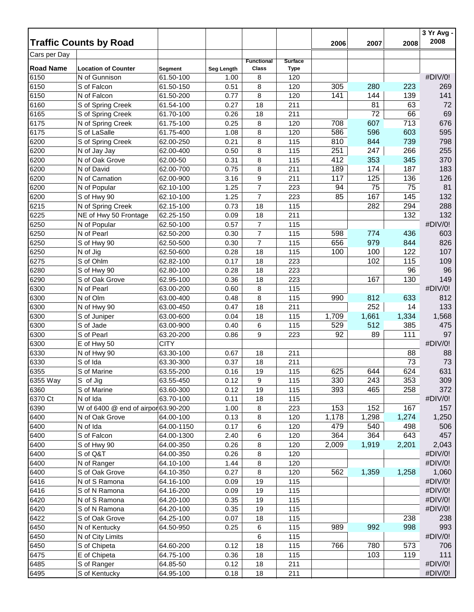|                  | <b>Traffic Counts by Road</b>               |                        |              |                   |                | 2006  | 2007  | 2008  | 3 Yr Avg -<br>2008 |
|------------------|---------------------------------------------|------------------------|--------------|-------------------|----------------|-------|-------|-------|--------------------|
| Cars per Day     |                                             |                        |              |                   |                |       |       |       |                    |
|                  |                                             |                        |              | <b>Functional</b> | <b>Surface</b> |       |       |       |                    |
| <b>Road Name</b> | <b>Location of Counter</b><br>N of Gunnison | Segment                | Seg Length   | Class             | <b>Type</b>    |       |       |       | #DIV/0!            |
| 6150<br>6150     | S of Falcon                                 | 61.50-100<br>61.50-150 | 1.00         | 8                 | 120            | 305   | 280   | 223   | 269                |
| 6150             | N of Falcon                                 | 61.50-200              | 0.51<br>0.77 | 8<br>8            | 120<br>120     | 141   | 144   | 139   | 141                |
|                  |                                             |                        |              |                   |                |       | 81    | 63    | 72                 |
| 6160<br>6165     | S of Spring Creek                           | 61.54-100              | 0.27         | 18                | 211            |       | 72    | 66    | 69                 |
|                  | S of Spring Creek                           | 61.70-100              | 0.26         | 18                | 211<br>120     | 708   | 607   | 713   | 676                |
| 6175             | N of Spring Creek                           | 61.75-100              | 0.25         | 8                 | 120            | 586   | 596   | 603   | 595                |
| 6175             | S of LaSalle                                | 61.75-400              | 1.08         | 8                 |                | 810   | 844   | 739   | 798                |
| 6200<br>6200     | S of Spring Creek<br>N of Jay Jay           | 62.00-250<br>62.00-400 | 0.21<br>0.50 | 8<br>8            | 115<br>115     | 251   | 247   | 266   | 255                |
| 6200             |                                             |                        |              |                   |                | 412   | 353   | 345   | 370                |
| 6200             | N of Oak Grove<br>N of David                | 62.00-50               | 0.31         | 8                 | 115            | 189   | 174   | 187   | 183                |
| 6200             | N of Carnation                              | 62.00-700<br>62.00-900 | 0.75<br>3.16 | 8<br>9            | 211<br>211     | 117   | 125   | 136   | 126                |
| 6200             |                                             |                        |              | $\overline{7}$    |                | 94    | 75    |       | 81                 |
|                  | N of Popular                                | 62.10-100              | 1.25         |                   | 223            |       |       | 75    |                    |
| 6200             | S of Hwy 90                                 | 62.10-100              | 1.25         | $\overline{7}$    | 223            | 85    | 167   | 145   | 132                |
| 6215             | N of Spring Creek                           | 62.15-100              | 0.73         | 18                | 115            |       | 282   | 294   | 288                |
| 6225             | NE of Hwy 50 Frontage                       | 62.25-150              | 0.09         | 18                | 211            |       |       | 132   | 132                |
| 6250             | N of Popular                                | 62.50-100              | 0.57         | 7                 | 115            |       |       |       | #DIV/0!            |
| 6250             | N of Pearl                                  | 62.50-200              | 0.30         | $\overline{7}$    | 115            | 598   | 774   | 436   | 603                |
| 6250             | S of Hwy 90                                 | 62.50-500              | 0.30         | $\overline{7}$    | 115            | 656   | 979   | 844   | 826                |
| 6250             | N of Jig                                    | 62.50-600              | 0.28         | 18                | 115            | 100   | 100   | 122   | 107                |
| 6275             | S of Ohlm                                   | 62.82-100              | 0.17         | 18                | 223            |       | 102   | 115   | 109                |
| 6280             | S of Hwy 90                                 | 62.80-100              | 0.28         | 18                | 223            |       |       | 96    | 96                 |
| 6290             | S of Oak Grove                              | 62.95-100              | 0.36         | 18                | 223            |       | 167   | 130   | 149                |
| 6300             | N of Pearl                                  | 63.00-200              | 0.60         | 8                 | 115            |       |       |       | #DIV/0!            |
| 6300             | N of Olm                                    | 63.00-400              | 0.48         | 8                 | 115            | 990   | 812   | 633   | 812                |
| 6300             | N of Hwy 90                                 | 63.00-450              | 0.47         | 18                | 211            |       | 252   | 14    | 133                |
| 6300             | S of Juniper                                | 63.00-600              | 0.04         | 18                | 115            | 1,709 | 1,661 | 1,334 | 1,568              |
| 6300             | S of Jade                                   | 63.00-900              | 0.40         | 6                 | 115            | 529   | 512   | 385   | 475                |
| 6300             | S of Pearl                                  | 63.20-200              | 0.86         | 9                 | 223            | 92    | 89    | 111   | 97                 |
| 6300             | E of Hwy 50                                 | <b>CITY</b>            |              |                   |                |       |       |       | #DIV/0!            |
| 6330             | N of Hwy 90                                 | 63.30-100              | 0.67         | 18                | 211            |       |       | 88    | 88                 |
| 6330             | S of Ida                                    | 63.30-300              | 0.37         | 18                | 211            |       |       | 73    | 73                 |
| 6355             | S of Marine                                 | 63.55-200              | 0.16         | 19                | 115            | 625   | 644   | 624   | 631                |
| 6355 Way         | S of Jig                                    | 63.55-450              | 0.12         | 9                 | 115            | 330   | 243   | 353   | 309                |
| 6360             | S of Marine                                 | 63.60-300              | 0.12         | 19                | 115            | 393   | 465   | 258   | 372                |
| 6370 Ct          | N of Ida                                    | 63.70-100              | 0.11         | 18                | 115            |       |       |       | #DIV/0!            |
| 6390             | W of 6400 @ end of airpor 63.90-200         |                        | 1.00         | 8                 | 223            | 153   | 152   | 167   | 157                |
| 6400             | N of Oak Grove                              | 64.00-100              | 0.13         | 8                 | 120            | 1,178 | 1,298 | 1,274 | 1,250              |
| 6400             | N of Ida                                    | 64.00-1150             | 0.17         | 6                 | 120            | 479   | 540   | 498   | 506                |
| 6400             | S of Falcon                                 | 64.00-1300             | 2.40         | 6                 | 120            | 364   | 364   | 643   | 457                |
| 6400             | S of Hwy 90                                 | 64.00-350              | 0.26         | 8                 | 120            | 2,009 | 1,919 | 2,201 | 2,043              |
| 6400             | S of Q&T                                    | 64.00-350              | 0.26         | 8                 | 120            |       |       |       | #DIV/0!            |
| 6400             | N of Ranger                                 | 64.10-100              | 1.44         | 8                 | 120            |       |       |       | #DIV/0!            |
| 6400             | S of Oak Grove                              | 64.10-350              | 0.27         | 8                 | 120            | 562   | 1,359 | 1,258 | 1,060              |
| 6416             | N of S Ramona                               | 64.16-100              | 0.09         | 19                | 115            |       |       |       | #DIV/0!            |
| 6416             | S of N Ramona                               | 64.16-200              | 0.09         | 19                | 115            |       |       |       | #DIV/0!            |
| 6420             | N of S Ramona                               | 64.20-100              | 0.35         | 19                | 115            |       |       |       | #DIV/0!            |
| 6420             | S of N Ramona                               | 64.20-100              | 0.35         | 19                | 115            |       |       |       | #DIV/0!            |
| 6422             | S of Oak Grove                              | 64.25-100              | 0.07         | 18                | 115            |       |       | 238   | 238                |
| 6450             | N of Kentucky                               | 64.50-950              | 0.25         | 6                 | 115            | 989   | 992   | 998   | 993                |
| 6450             | N of City Limits                            |                        |              | 6                 | 115            |       |       |       | #DIV/0!            |
| 6450             | S of Chipeta                                | 64.60-200              | 0.12         | 18                | 115            | 766   | 780   | 573   | 706                |
| 6475             | E of Chipeta                                | 64.75-100              | 0.36         | 18                | 115            |       | 103   | 119   | 111                |
| 6485             | S of Ranger                                 | 64.85-50               | 0.12         | 18                | 211            |       |       |       | #DIV/0!            |
| 6495             | S of Kentucky                               | 64.95-100              | 0.18         | 18                | 211            |       |       |       | #DIV/0!            |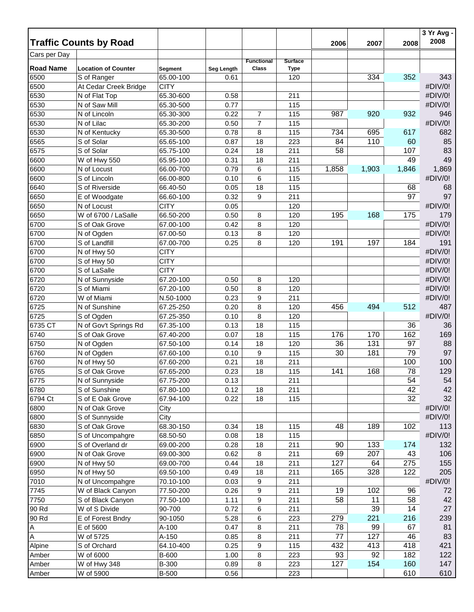|                  | <b>Traffic Counts by Road</b> |              |            |                                   |                               | 2006  | 2007  | 2008  | 3 Yr Avg -<br>2008 |
|------------------|-------------------------------|--------------|------------|-----------------------------------|-------------------------------|-------|-------|-------|--------------------|
| Cars per Day     |                               |              |            |                                   |                               |       |       |       |                    |
| <b>Road Name</b> | <b>Location of Counter</b>    | Segment      | Seg Length | <b>Functional</b><br><b>Class</b> | <b>Surface</b><br><b>Type</b> |       |       |       |                    |
| 6500             | S of Ranger                   | 65.00-100    | 0.61       |                                   | 120                           |       | 334   | 352   | 343                |
| 6500             | At Cedar Creek Bridge         | <b>CITY</b>  |            |                                   |                               |       |       |       | #DIV/0!            |
| 6530             | N of Flat Top                 | 65.30-600    | 0.58       |                                   | 211                           |       |       |       | #DIV/0!            |
| 6530             | N of Saw Mill                 | 65.30-500    | 0.77       |                                   | 115                           |       |       |       | #DIV/0!            |
| 6530             | N of Lincoln                  | 65.30-300    | 0.22       | $\overline{7}$                    | 115                           | 987   | 920   | 932   | 946                |
| 6530             | N of Lilac                    | 65.30-200    | 0.50       | $\overline{7}$                    | 115                           |       |       |       | #DIV/0!            |
| 6530             | N of Kentucky                 | 65.30-500    | 0.78       | 8                                 | 115                           | 734   | 695   | 617   | 682                |
| 6565             | S of Solar                    | 65.65-100    | 0.87       | 18                                | 223                           | 84    | 110   | 60    | 85                 |
| 6575             | S of Solar                    | 65.75-100    | 0.24       | 18                                | 211                           | 58    |       | 107   | 83                 |
| 6600             | W of Hwy 550                  | 65.95-100    | 0.31       | 18                                | 211                           |       |       | 49    | 49                 |
| 6600             | N of Locust                   | 66.00-700    | 0.79       | 6                                 | 115                           | 1,858 | 1,903 | 1,846 | 1,869              |
| 6600             | S of Lincoln                  | 66.00-800    | 0.10       | 6                                 | 115                           |       |       |       | #DIV/0!            |
| 6640             | S of Riverside                | 66.40-50     | 0.05       | 18                                | 115                           |       |       | 68    | 68                 |
| 6650             |                               | 66.60-100    | 0.32       | 9                                 | 211                           |       |       | 97    | 97                 |
| 6650             | E of Woodgate<br>N of Locust  | <b>CITY</b>  | 0.05       |                                   | 120                           |       |       |       | #DIV/0!            |
| 6650             | W of 6700 / LaSalle           | 66.50-200    |            |                                   |                               | 195   | 168   |       | 179                |
|                  |                               |              | 0.50       | 8                                 | 120                           |       |       | 175   | #DIV/0!            |
| 6700             | S of Oak Grove                | 67.00-100    | 0.42       | 8                                 | 120                           |       |       |       |                    |
| 6700             | N of Ogden                    | 67.00-50     | 0.13       | 8                                 | 120                           |       |       |       | #DIV/0!            |
| 6700             | S of Landfill                 | 67.00-700    | 0.25       | 8                                 | 120                           | 191   | 197   | 184   | 191                |
| 6700             | N of Hwy 50                   | <b>CITY</b>  |            |                                   |                               |       |       |       | #DIV/0!            |
| 6700             | S of Hwy 50                   | <b>CITY</b>  |            |                                   |                               |       |       |       | #DIV/0!            |
| 6700             | S of LaSalle                  | <b>CITY</b>  |            |                                   |                               |       |       |       | #DIV/0!            |
| 6720             | N of Sunnyside                | 67.20-100    | 0.50       | 8                                 | 120                           |       |       |       | #DIV/0!            |
| 6720             | S of Miami                    | 67.20-100    | 0.50       | 8                                 | 120                           |       |       |       | #DIV/0!            |
| 6720             | W of Miami                    | N.50-1000    | 0.23       | 9                                 | 211                           |       |       |       | #DIV/0!            |
| 6725             | N of Sunshine                 | 67.25-250    | 0.20       | 8                                 | 120                           | 456   | 494   | 512   | 487                |
| 6725             | S of Ogden                    | 67.25-350    | 0.10       | 8                                 | 120                           |       |       |       | #DIV/0!            |
| 6735 CT          | N of Gov't Springs Rd         | 67.35-100    | 0.13       | 18                                | 115                           |       |       | 36    | 36                 |
| 6740             | S of Oak Grove                | 67.40-200    | 0.07       | 18                                | 115                           | 176   | 170   | 162   | 169                |
| 6750             | N of Ogden                    | 67.50-100    | 0.14       | 18                                | 120                           | 36    | 131   | 97    | 88                 |
| 6760             | N of Ogden                    | 67.60-100    | 0.10       | 9                                 | 115                           | 30    | 181   | 79    | 97                 |
| 6760             | N of Hwy 50                   | 67.60-200    | 0.21       | 18                                | 211                           |       |       | 100   | 100                |
| 6765             | S of Oak Grove                | 67.65-200    | 0.23       | 18                                | 115                           | 141   | 168   | 78    | 129                |
| 6775             | N of Sunnyside                | 67.75-200    | 0.13       |                                   | 211                           |       |       | 54    | 54                 |
| 6780             | S of Sunshine                 | 67.80-100    | 0.12       | 18                                | 211                           |       |       | 42    | 42                 |
| 6794 Ct          | S of E Oak Grove              | 67.94-100    | 0.22       | 18                                | 115                           |       |       | 32    | 32                 |
| 6800             | N of Oak Grove                | City         |            |                                   |                               |       |       |       | #DIV/0!            |
| 6800             | S of Sunnyside                | City         |            |                                   |                               |       |       |       | #DIV/0!            |
| 6830             | S of Oak Grove                | 68.30-150    | 0.34       | 18                                | 115                           | 48    | 189   | 102   | 113                |
| 6850             | S of Uncompahgre              | 68.50-50     | 0.08       | 18                                | 115                           |       |       |       | #DIV/0!            |
| 6900             | S of Overland dr              | 69.00-200    | 0.28       | 18                                | 211                           | 90    | 133   | 174   | 132                |
| 6900             | N of Oak Grove                | 69.00-300    | 0.62       | 8                                 | 211                           | 69    | 207   | 43    | 106                |
| 6900             | N of Hwy 50                   | 69.00-700    | 0.44       | 18                                | 211                           | 127   | 64    | 275   | 155                |
| 6950             | N of Hwy 50                   | 69.50-100    | 0.49       | 18                                | 211                           | 165   | 328   | 122   | 205                |
| 7010             | N of Uncompahgre              | 70.10-100    | 0.03       | 9                                 | 211                           |       |       |       | #DIV/0!            |
| 7745             | W of Black Canyon             | 77.50-200    | 0.26       | 9                                 | 211                           | 19    | 102   | 96    | 72                 |
| 7750             | S of Black Canyon             | 77.50-100    | 1.11       | 9                                 | 211                           | 58    | 11    | 58    | 42                 |
| 90 Rd            | W of S Divide                 | 90-700       | 0.72       | 6                                 | 211                           |       | 39    | 14    | 27                 |
| 90 Rd            | E of Forest Bndry             | 90-1050      | 5.28       | 6                                 | 223                           | 279   | 221   | 216   | 239                |
| Α                | E of 5600                     | A-100        | 0.47       | 8                                 | 211                           | 78    | 99    | 67    | 81                 |
| A                | W of 5725                     | A-150        | 0.85       | 8                                 | 211                           | 77    | 127   | 46    | 83                 |
| Alpine           | S of Orchard                  | 64.10-400    | 0.25       | 9                                 | 115                           | 432   | 413   | 418   | 421                |
| Amber            | W of 6000                     | B-600        | 1.00       | 8                                 | 223                           | 93    | 92    | 182   | 122                |
| Amber            | W of Hwy 348                  | B-300        | 0.89       | 8                                 | 223                           | 127   | 154   | 160   | 147                |
| Amber            | W of 5900                     | <b>B-500</b> | 0.56       |                                   | 223                           |       |       | 610   | 610                |
|                  |                               |              |            |                                   |                               |       |       |       |                    |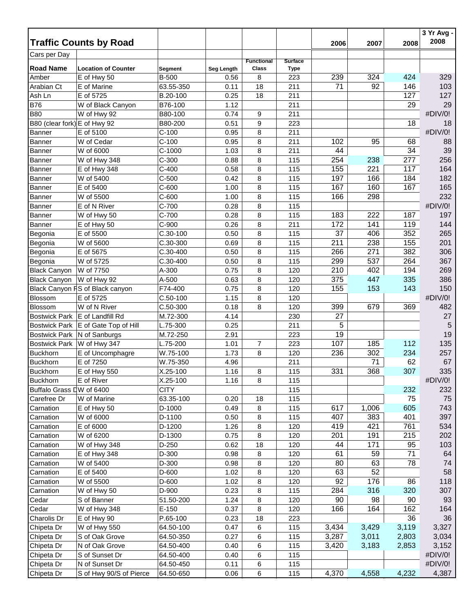|                              |                                 |              |            |                            |                               |       |       |       | 3 Yr Avg - |
|------------------------------|---------------------------------|--------------|------------|----------------------------|-------------------------------|-------|-------|-------|------------|
|                              | <b>Traffic Counts by Road</b>   |              |            |                            |                               | 2006  | 2007  | 2008  | 2008       |
| Cars per Day                 |                                 |              |            |                            |                               |       |       |       |            |
| <b>Road Name</b>             | <b>Location of Counter</b>      | Segment      | Seg Length | <b>Functional</b><br>Class | <b>Surface</b><br><b>Type</b> |       |       |       |            |
| Amber                        | E of Hwy 50                     | <b>B-500</b> | 0.56       | 8                          | 223                           | 239   | 324   | 424   | 329        |
| Arabian Ct                   | E of Marine                     | 63.55-350    | 0.11       | 18                         | 211                           | 71    | 92    | 146   | 103        |
| Ash Ln                       | E of 5725                       | B.20-100     | 0.25       | 18                         | 211                           |       |       | 127   | 127        |
| <b>B76</b>                   | W of Black Canyon               | B76-100      | 1.12       |                            | 211                           |       |       | 29    | 29         |
| <b>B80</b>                   | W of Hwy 92                     | B80-100      | 0.74       | 9                          | 211                           |       |       |       | #DIV/0!    |
| B80 (clear fork) E of Hwy 92 |                                 | B80-200      | 0.51       | 9                          | 223                           |       |       | 18    | 18         |
| Banner                       | E of 5100                       | $C-100$      | 0.95       | 8                          | 211                           |       |       |       | #DIV/0!    |
| <b>Banner</b>                | W of Cedar                      | $C-100$      | 0.95       | 8                          | 211                           | 102   | 95    | 68    | 88         |
| Banner                       | W of 6000                       | $C-1000$     | 1.03       | 8                          | 211                           | 44    |       | 34    | 39         |
| Banner                       | W of Hwy 348                    | $C-300$      | 0.88       | 8                          | 115                           | 254   | 238   | 277   | 256        |
| Banner                       | E of Hwy 348                    | $C-400$      | 0.58       | 8                          | 115                           | 155   | 221   | 117   | 164        |
| <b>Banner</b>                | W of 5400                       | $C-500$      | 0.42       | 8                          | 115                           | 197   | 166   | 184   | 182        |
| <b>Banner</b>                | E of 5400                       | $C-600$      | 1.00       | 8                          | 115                           | 167   | 160   | 167   | 165        |
| <b>Banner</b>                | W of 5500                       | $C-600$      | 1.00       | 8                          | 115                           | 166   | 298   |       | 232        |
| <b>Banner</b>                | E of N River                    | C-700        | 0.28       | 8                          | 115                           |       |       |       | #DIV/0!    |
| Banner                       | W of Hwy 50                     | $C-700$      | 0.28       | 8                          | 115                           | 183   | 222   | 187   | 197        |
| <b>Banner</b>                | E of Hwy 50                     | $C-900$      | 0.26       | 8                          | 211                           | 172   | 141   | 119   | 144        |
|                              |                                 | $C.30-100$   |            |                            |                               | 37    | 406   | 352   | 265        |
| Begonia                      | E of 5500                       |              | 0.50       | 8                          | 115                           | 211   | 238   | 155   | 201        |
| Begonia                      | W of 5600                       | C.30-300     | 0.69       | 8                          | 115                           |       |       |       |            |
| Begonia                      | E of 5675                       | C.30-400     | 0.50       | 8                          | 115                           | 266   | 271   | 382   | 306        |
| Begonia                      | W of 5725                       | C.30-400     | 0.50       | 8                          | 115                           | 299   | 537   | 264   | 367        |
| <b>Black Canyon</b>          | W of 7750                       | A-300        | 0.75       | 8                          | 120                           | 210   | 402   | 194   | 269        |
| <b>Black Canyon</b>          | W of Hwy 92                     | A-500        | 0.63       | 8                          | 120                           | 375   | 447   | 335   | 386        |
|                              | Black Canyon FS of Black canyon | F74-400      | 0.75       | 8                          | 120                           | 155   | 153   | 143   | 150        |
| Blossom                      | E of 5725                       | $C.50-100$   | 1.15       | 8                          | 120                           |       |       |       | #DIV/0!    |
| <b>Blossom</b>               | W of N River                    | $C.50-300$   | 0.18       | 8                          | 120                           | 399   | 679   | 369   | 482        |
| <b>Bostwick Park</b>         | E of Landfill Rd                | M.72-300     | 4.14       |                            | 230                           | 27    |       |       | 27         |
| <b>Bostwick Park</b>         | E of Gate Top of Hill           | L.75-300     | 0.25       |                            | 211                           | 5     |       |       | 5          |
| <b>Bostwick Park</b>         | N of Sanburgs                   | M.72-250     | 2.91       |                            | 223                           | 19    |       |       | 19         |
| <b>Bostwick Park</b>         | W of Hwy 347                    | L.75-200     | 1.01       | 7                          | 223                           | 107   | 185   | 112   | 135        |
| <b>Buckhorn</b>              | E of Uncomphagre                | W.75-100     | 1.73       | 8                          | 120                           | 236   | 302   | 234   | 257        |
| <b>Buckhorn</b>              | E of 7250                       | W.75-350     | 4.96       |                            | 211                           |       | 71    | 62    | 67         |
| <b>Buckhorn</b>              | E of Hwy 550                    | X.25-100     | 1.16       | 8                          | 115                           | 331   | 368   | 307   | 335        |
| <b>Buckhorn</b>              | E of River                      | X.25-100     | 1.16       | 8                          | 115                           |       |       |       | #DIV/0!    |
| Buffalo Grass LW of 6400     |                                 | <b>CITY</b>  |            |                            | 115                           |       |       | 232   | 232        |
| Carefree Dr                  | W of Marine                     | 63.35-100    | 0.20       | 18                         | 115                           |       |       | 75    | 75         |
| Carnation                    | E of Hwy 50                     | D-1000       | 0.49       | 8                          | 115                           | 617   | 1,006 | 605   | 743        |
| Carnation                    | W of 6000                       | D-1100       | 0.50       | 8                          | 115                           | 407   | 383   | 401   | 397        |
| Carnation                    | E of 6000                       | D-1200       | 1.26       | 8                          | 120                           | 419   | 421   | 761   | 534        |
| Carnation                    | W of 6200                       | D-1300       | 0.75       | 8                          | 120                           | 201   | 191   | 215   | 202        |
| Carnation                    | W of Hwy 348                    | D-250        | 0.62       | 18                         | 120                           | 44    | 171   | 95    | 103        |
| Carnation                    | E of Hwy 348                    | D-300        | 0.98       | 8                          | 120                           | 61    | 59    | 71    | 64         |
| Carnation                    | W of 5400                       | D-300        | 0.98       | 8                          | 120                           | 80    | 63    | 78    | 74         |
| Carnation                    | E of 5400                       | D-600        | 1.02       | 8                          | 120                           | 63    | 52    |       | 58         |
| Carnation                    | W of 5500                       | D-600        | 1.02       | 8                          | 120                           | 92    | 176   | 86    | 118        |
| Carnation                    | W of Hwy 50                     | D-900        | 0.23       | 8                          | 115                           | 284   | 316   | 320   | 307        |
| Cedar                        | S of Banner                     | 51.50-200    | 1.24       | 8                          | 120                           | 90    | 98    | 90    | 93         |
| Cedar                        | W of Hwy 348                    | $E-150$      | 0.37       | 8                          | 120                           | 166   | 164   | 162   | 164        |
| Charolis Dr                  | E of Hwy 90                     | P.65-100     | 0.23       | 18                         | 223                           |       |       | 36    | 36         |
| Chipeta Dr                   | W of Hwy 550                    | 64.50-100    | 0.47       | 6                          | 115                           | 3,434 | 3,429 | 3,119 | 3,327      |
| Chipeta Dr                   | S of Oak Grove                  | 64.50-350    | 0.27       | 6                          | 115                           | 3,287 | 3,011 | 2,803 | 3,034      |
| Chipeta Dr                   | N of Oak Grove                  | 64.50-400    | 0.40       | 6                          | 115                           | 3,420 | 3,183 | 2,853 | 3,152      |
| Chipeta Dr                   | S of Sunset Dr                  | 64.50-400    | 0.40       | 6                          | 115                           |       |       |       | #DIV/0!    |
| Chipeta Dr                   | N of Sunset Dr                  | 64.50-450    | 0.11       | 6                          | 115                           |       |       |       | #DIV/0!    |
| Chipeta Dr                   | S of Hwy 90/S of Pierce         | 64.50-650    | 0.06       | 6                          | 115                           | 4,370 | 4,558 | 4,232 | 4,387      |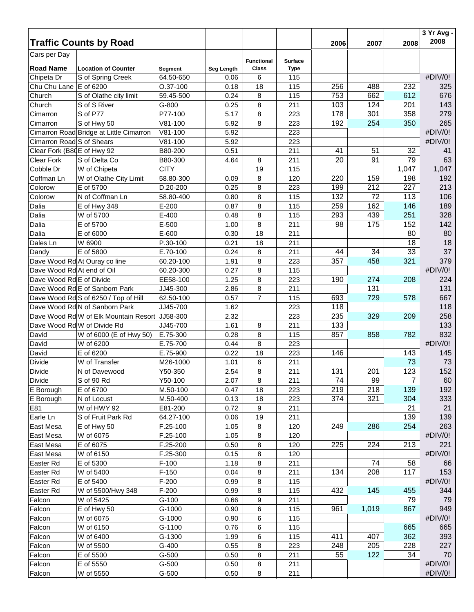|                            | <b>Traffic Counts by Road</b>           |                      |                    |                            |                               | 2006 | 2007      | 2008           | 3 Yr Avg -<br>2008 |
|----------------------------|-----------------------------------------|----------------------|--------------------|----------------------------|-------------------------------|------|-----------|----------------|--------------------|
| Cars per Day               |                                         |                      |                    |                            |                               |      |           |                |                    |
| <b>Road Name</b>           | <b>Location of Counter</b>              |                      |                    | <b>Functional</b><br>Class | <b>Surface</b><br><b>Type</b> |      |           |                |                    |
| Chipeta Dr                 | S of Spring Creek                       | Segment<br>64.50-650 | Seg Length<br>0.06 | 6                          | 115                           |      |           |                | #DIV/0!            |
| Chu Chu Lane E of 6200     |                                         | O.37-100             | 0.18               | 18                         | 115                           | 256  | 488       | 232            | 325                |
| Church                     | S of Olathe city limit                  | 59.45-500            | 0.24               | 8                          | 115                           | 753  | 662       | 612            | 676                |
| Church                     | S of S River                            | G-800                | 0.25               | 8                          | 211                           | 103  | 124       | 201            | 143                |
| Cimarron                   | S of P77                                | P77-100              | 5.17               | 8                          | 223                           | 178  | 301       | 358            | 279                |
| Cimarron                   | S of Hwy 50                             | V81-100              | 5.92               | 8                          | 223                           | 192  | 254       | 350            | 265                |
|                            | Cimarron Road Bridge at Little Cimarron | $V81-100$            | 5.92               |                            | 223                           |      |           |                | #DIV/0!            |
| Cimarron Road S of Shears  |                                         | V81-100              | 5.92               |                            | 223                           |      |           |                | #DIV/0!            |
| Clear Fork (B80E of Hwy 92 |                                         | B80-200              | 0.51               |                            | 211                           | 41   | 51        | 32             | 41                 |
| Clear Fork                 | S of Delta Co                           | B80-300              | 4.64               | 8                          | 211                           | 20   | 91        | 79             | 63                 |
| Cobble Dr                  | W of Chipeta                            | <b>CITY</b>          |                    | 19                         | 115                           |      |           | 1,047          | 1,047              |
| Coffman Ln                 | W of Olathe City Limit                  | 58.80-300            | 0.09               | 8                          | 120                           | 220  | 159       | 198            | 192                |
| Colorow                    | E of 5700                               | D.20-200             | 0.25               | 8                          | 223                           | 199  | 212       | 227            | 213                |
| Colorow                    | N of Coffman Ln                         | 58.80-400            | 0.80               | 8                          | 115                           | 132  | 72        | 113            | 106                |
| Dalia                      | E of Hwy 348                            | $E-200$              | 0.87               | 8                          | 115                           | 259  | 162       | 146            | 189                |
| Dalia                      | W of 5700                               | E-400                | 0.48               | 8                          | 115                           | 293  | 439       | 251            | 328                |
| Dalia                      | E of 5700                               | E-500                | 1.00               | 8                          | 211                           | 98   | 175       | 152            | 142                |
| Dalia                      | E of 6000                               | E-600                | 0.30               | 18                         | 211                           |      |           | 80             | 80                 |
| Dales Ln                   | W 6900                                  | P.30-100             | 0.21               | 18                         | 211                           |      |           | 18             | 18                 |
| Dandy                      | E of 5800                               | E.70-100             | 0.24               | 8                          | 211                           | 44   | 34        | 33             | 37                 |
|                            | Dave Wood Rd At Ouray co line           | 60.20-100            | 1.91               | 8                          | 223                           | 357  | 458       | 321            | 379                |
| Dave Wood Rd At end of Oil |                                         | 60.20-300            | 0.27               | 8                          | 115                           |      |           |                | #DIV/0!            |
| Dave Wood Rd E of Divide   |                                         | EE58-100             | 1.25               | 8                          | 223                           | 190  | 274       | 208            | 224                |
|                            | Dave Wood Rd E of Sanborn Park          | JJ45-300             | 2.86               | 8                          | 211                           |      | 131       |                | 131                |
|                            | Dave Wood Rd S of 6250 / Top of Hill    | 62.50-100            | 0.57               | $\overline{7}$             | 115                           | 693  | 729       | 578            | 667                |
|                            | Dave Wood Rd N of Sanborn Park          | JJ45-700             | 1.62               |                            | 223                           | 118  |           |                | 118                |
|                            | Dave Wood Rd W of Elk Mountain Resort   | JJ58-300             | 2.32               |                            | 223                           | 235  | 329       | 209            | 258                |
|                            | Dave Wood Rd W of Divide Rd             | JJ45-700             | 1.61               | 8                          | 211                           | 133  |           |                | 133                |
| David                      | W of 6000 (E of Hwy 50)                 | E.75-300             | 0.28               | 8                          | 115                           | 857  | 858       | 782            | 832                |
| David                      | W of 6200                               | E.75-700             | 0.44               | 8                          | 223                           |      |           |                | #DIV/0!            |
| David                      | E of 6200                               | E.75-900             | 0.22               | 18                         | 223                           | 146  |           | 143            | 145                |
| Divide                     | W of Transfer                           | M26-1000             | 1.01               | 6                          | 211                           |      |           | 73             | 73                 |
| <b>Divide</b>              | N of Davewood                           | Y50-350              | 2.54               | 8                          | 211                           | 131  | 201       | 123            | 152                |
| <b>Divide</b>              | S of 90 Rd                              | Y50-100              | 2.07               | 8                          | 211                           | 74   | 99        | $\overline{7}$ | 60                 |
| E Borough                  | E of 6700                               | M.50-100             | 0.47               | 18                         | 223                           | 219  | 218       | 139            | 192                |
| E Borough                  | N of Locust                             | M.50-400             | 0.13               | 18                         | 223                           | 374  | 321       | 304            | 333                |
| E81                        | W of HWY 92                             | E81-200              | 0.72               | 9                          | 211                           |      |           | 21             | 21                 |
| Earle Ln                   | S of Fruit Park Rd                      | 64.27-100            | 0.06               | 19                         | 211                           |      |           | 139            | 139                |
| East Mesa                  | E of Hwy 50                             | F.25-100             | 1.05               | 8                          | 120                           | 249  | 286       | 254            | 263                |
| East Mesa                  | W of 6075                               | $F.25-100$           | 1.05               | 8                          | 120                           |      |           |                | #DIV/0!            |
| East Mesa                  | E of 6075                               | F.25-200             | 0.50               | 8                          | 120                           | 225  | 224       | 213            | 221                |
| East Mesa                  | W of 6150                               | F.25-300             | 0.15               | 8                          | 120                           |      |           |                | #DIV/0!            |
| Easter Rd                  | E of 5300                               | $F-100$              | 1.18               | 8                          | 211                           | 134  | 74<br>208 | 58<br>117      | 66                 |
| Easter Rd                  | W of 5400<br>E of 5400                  | $F-150$<br>$F-200$   | 0.04               | 8                          | 211                           |      |           |                | 153                |
| Easter Rd                  |                                         |                      | 0.99               | 8                          | 115                           |      |           |                | #DIV/0!            |
| Easter Rd                  | W of 5500/Hwy 348                       | $F-200$              | 0.99               | 8                          | 115                           | 432  | 145       | 455            | 344                |
| Falcon                     | W of 5425                               | $G-100$<br>G-1000    | 0.66               | 9<br>6                     | 211<br>115                    | 961  | 1,019     | 79<br>867      | 79<br>949          |
| Falcon                     | E of Hwy 50                             |                      | 0.90               |                            |                               |      |           |                |                    |
| Falcon                     | W of 6075                               | G-1000               | 0.90               | 6                          | 115                           |      |           | 665            | #DIV/0!            |
| Falcon                     | W of 6150                               | G-1100               | 0.76               | 6                          | 115                           | 411  | 407       |                | 665                |
| Falcon                     | W of 6400                               | G-1300               | 1.99               | 6                          | 115                           |      |           | 362            | 393                |
| Falcon                     | W of 5500                               | G-400                | 0.55               | 8                          | 223                           | 248  | 205       | 228            | 227                |
| Falcon                     | E of 5500<br>E of 5550                  | $G-500$<br>$G-500$   | 0.50<br>0.50       | 8                          | 211<br>211                    | 55   | 122       | 34             | 70<br>#DIV/0!      |
| Falcon                     | W of 5550                               | G-500                |                    | 8                          | 211                           |      |           |                | #DIV/0!            |
| Falcon                     |                                         |                      | 0.50               | 8                          |                               |      |           |                |                    |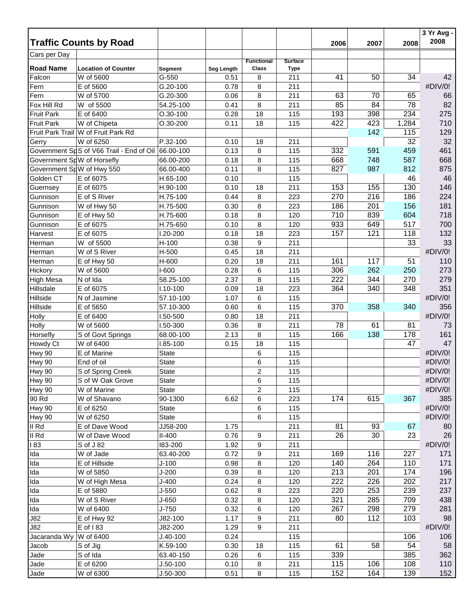|                            | <b>Traffic Counts by Road</b>                      |                |            |                   |                | 2006 | 2007 | 2008  | 3 Yr Avg -<br>2008 |
|----------------------------|----------------------------------------------------|----------------|------------|-------------------|----------------|------|------|-------|--------------------|
|                            |                                                    |                |            |                   |                |      |      |       |                    |
| Cars per Day               |                                                    |                |            | <b>Functional</b> | <b>Surface</b> |      |      |       |                    |
| <b>Road Name</b>           | <b>Location of Counter</b>                         | <b>Segment</b> | Seg Length | Class             | <b>Type</b>    |      |      |       |                    |
| Falcon                     | W of 5600                                          | $G-550$        | 0.51       | 8                 | 211            | 41   | 50   | 34    | 42                 |
| Fern                       | E of 5600                                          | G.20-100       | 0.78       | 8                 | 211            |      |      |       | #DIV/0!            |
| Fern                       | W of 5700                                          | G.20-300       | 0.06       | 8                 | 211            | 63   | 70   | 65    | 66                 |
| Fox Hill Rd                | W of 5500                                          | 54.25-100      | 0.41       | 8                 | 211            | 85   | 84   | 78    | 82                 |
| <b>Fruit Park</b>          | E of 6400                                          | $O.30 - 100$   | 0.28       | 18                | 115            | 193  | 398  | 234   | 275                |
| <b>Fruit Park</b>          | W of Chipeta                                       | $O.30 - 200$   | 0.11       | 18                | 115            | 422  | 423  | 1,284 | 710                |
|                            | Fruit Park Trail W of Fruit Park Rd                |                |            |                   |                |      | 142  | 115   | 129                |
| Gerry                      | W of 6250                                          | P.32-100       | 0.10       | 18                | 211            |      |      | 32    | 32                 |
|                            | Government SpS of V66 Trail - End of Oil 66.00-100 |                | 0.13       | 8                 | 115            | 332  | 591  | 459   | 461                |
| Government SpW of Horsefly |                                                    | 66.00-200      | 0.18       | 8                 | 115            | 668  | 748  | 587   | 668                |
| Government SpW of Hwy 550  |                                                    | 66.00-400      | 0.11       | 8                 | 115            | 827  | 987  | 812   | 875                |
| Golden CT                  | E of 6075                                          | H.65-100       | 0.10       |                   | 115            |      |      | 46    | 46                 |
| Guernsey                   | E of 6075                                          | H.90-100       | 0.10       | 18                | 211            | 153  | 155  | 130   | 146                |
| Gunnison                   | E of S River                                       | H.75-100       | 0.44       | 8                 | 223            | 270  | 216  | 186   | 224                |
| Gunnison                   | W of Hwy 50                                        | H.75-500       | 0.30       | 8                 | 223            | 186  | 201  | 156   | 181                |
| Gunnison                   | E of Hwy 50                                        | H.75-600       | 0.18       | 8                 | 120            | 710  | 839  | 604   | 718                |
| Gunnison                   | E of 6075                                          | H.75-650       | 0.10       | 8                 | 120            | 933  | 649  | 517   | 700                |
| Harvest                    | E of 6075                                          | 1.20-200       | 0.18       | 18                | 223            | 157  | 121  | 118   | 132                |
| Herman                     | W of 5500                                          | H-100          | 0.38       | 9                 | 211            |      |      | 33    | 33                 |
| Herman                     | W of S River                                       | H-500          | 0.45       | 18                | 211            |      |      |       | #DIV/0!            |
| Herman                     | E of Hwy 50                                        | H-600          | 0.20       | 18                | 211            | 161  | 117  | 51    | 110                |
| Hickory                    | W of 5600                                          | I-600          | 0.28       | 6                 | 115            | 306  | 262  | 250   | 273                |
| High Mesa                  | N of Ida                                           | 58.25-100      | 2.37       | 8                 | 115            | 222  | 344  | 270   | 279                |
| Hillsdale                  | E of 6075                                          | $1.10 - 100$   | 0.09       | 18                | 223            | 364  | 340  | 348   | 351                |
| Hillside                   | N of Jasmine                                       | 57.10-100      | 1.07       | 6                 | 115            |      |      |       | #DIV/0!            |
| Hillside                   | E of 5650                                          | 57.10-300      | 0.60       | 6                 | 115            | 370  | 358  | 340   | 356                |
| Holly                      | E of 6400                                          | 1.50-500       | 0.80       | 18                | 211            |      |      |       | #DIV/0!            |
| Holly                      | W of 5600                                          | 1.50-300       | 0.36       | 8                 | 211            | 78   | 61   | 81    | 73                 |
| Horsefly                   | S of Govt Springs                                  | 68.00-100      | 2.13       | 8                 | 115            | 166  | 138  | 178   | 161                |
| Howdy Ct                   | W of 6400                                          | I.85-100       | 0.15       | 18                | 115            |      |      | 47    | 47                 |
| Hwy 90                     | E of Marine                                        | <b>State</b>   |            | 6                 | 115            |      |      |       | #DIV/0!            |
| Hwy 90                     | End of oil                                         | <b>State</b>   |            | 6                 | 115            |      |      |       | #DIV/0!            |
| Hwy 90                     | S of Spring Creek                                  | <b>State</b>   |            | $\overline{2}$    | 115            |      |      |       | #DIV/0!            |
| Hwy 90                     | S of W Oak Grove                                   | <b>State</b>   |            | 6                 | 115            |      |      |       | #DIV/0!            |
| <b>Hwy 90</b>              | W of Marine                                        | <b>State</b>   |            | $\overline{2}$    | 115            |      |      |       | #DIV/0!            |
| 90 Rd                      | W of Shavano                                       | 90-1300        | 6.62       | 6                 | 223            | 174  | 615  | 367   | 385                |
| <b>Hwy 90</b>              | E of 6250                                          | <b>State</b>   |            | 6                 | 115            |      |      |       | #DIV/0!            |
| <b>Hwy 90</b>              | W of 6250                                          | <b>State</b>   |            | 6                 | 115            |      |      |       | #DIV/0!            |
| II Rd                      | E of Dave Wood                                     | JJ58-200       | 1.75       |                   | 211            | 81   | 93   | 67    | 80                 |
| II Rd                      | W of Dave Wood                                     | $II-400$       | 0.76       | 9                 | 211            | 26   | 30   | 23    | 26                 |
| 183                        | S of J 82                                          | 183-200        | 1.92       | 9                 | 211            |      |      |       | #DIV/0!            |
| Ida                        | W of Jade                                          | 63.40-200      | 0.72       | 9                 | 211            | 169  | 116  | 227   | 171                |
| Ida                        | E of Hillside                                      | $J-100$        | 0.98       | 8                 | 120            | 140  | 264  | 110   | 171                |
| Ida                        | W of 5850                                          | $J-200$        | 0.39       | 8                 | 120            | 213  | 201  | 174   | 196                |
| Ida                        | W of High Mesa                                     | $J-400$        | 0.24       | 8                 | 120            | 222  | 226  | 202   | 217                |
| Ida                        | E of 5880                                          | $J-550$        | 0.62       | 8                 | 223            | 220  | 253  | 239   | 237                |
| Ida                        | W of S River                                       | $J-650$        | 0.32       | 8                 | 120            | 321  | 285  | 709   | 438                |
| Ida                        | W of 6400                                          | $J-750$        | 0.32       | 6                 | 120            | 267  | 298  | 279   | 281                |
| J82                        | E of Hwy 92                                        | J82-100        | 1.17       | 9                 | 211            | 80   | 112  | 103   | 98                 |
| J82                        | E of 183                                           | J82-200        | 1.29       | 9                 | 211            |      |      |       | #DIV/0!            |
| Jacaranda Wy               | W of 6400                                          | $J.40-100$     | 0.24       |                   | 115            |      |      | 106   | 106                |
| Jacob                      | S of Jig                                           | K.59-100       | 0.30       | 18                | 115            | 61   | 58   | 54    | 58                 |
| Jade                       | S of Ida                                           | 63.40-150      | 0.26       | 6                 | 115            | 339  |      | 385   | 362                |
| Jade                       | E of 6200                                          | $J.50-100$     | 0.10       | 8                 | 211            | 115  | 106  | 108   | 110                |
| Jade                       | W of 6300                                          | $J.50 - 300$   | 0.51       | 8                 | 115            | 152  | 164  | 139   | 152                |
|                            |                                                    |                |            |                   |                |      |      |       |                    |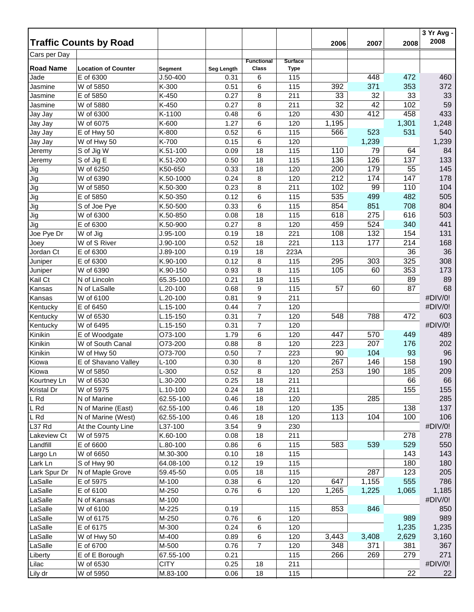|                   | <b>Traffic Counts by Road</b> |              |            |                            |                               | 2006  | 2007  | 2008  | 3 Yr Avg -<br>2008 |
|-------------------|-------------------------------|--------------|------------|----------------------------|-------------------------------|-------|-------|-------|--------------------|
| Cars per Day      |                               |              |            |                            |                               |       |       |       |                    |
| <b>Road Name</b>  | <b>Location of Counter</b>    | Segment      | Seg Length | <b>Functional</b><br>Class | <b>Surface</b><br><b>Type</b> |       |       |       |                    |
| Jade              | E of 6300                     | $J.50 - 400$ | 0.31       | 6                          | 115                           |       | 448   | 472   | 460                |
| Jasmine           | W of 5850                     | K-300        | 0.51       | 6                          | 115                           | 392   | 371   | 353   | 372                |
| Jasmine           | E of 5850                     | K-450        | 0.27       | 8                          | 211                           | 33    | 32    | 33    | 33                 |
| Jasmine           | W of 5880                     | K-450        | 0.27       | 8                          | 211                           | 32    | 42    | 102   | 59                 |
| Jay Jay           | W of 6300                     | K-1100       | 0.48       | 6                          | 120                           | 430   | 412   | 458   | 433                |
| Jay Jay           | W of 6075                     | K-600        | 1.27       | 6                          | 120                           | 1,195 |       | 1,301 | 1,248              |
| Jay Jay           | E of Hwy 50                   | K-800        | 0.52       | 6                          | 115                           | 566   | 523   | 531   | 540                |
| Jay Jay           | W of Hwy 50                   | K-700        | 0.15       | 6                          | 120                           |       | 1,239 |       | 1,239              |
| Jeremy            | S of Jig W                    | K.51-100     | 0.09       | 18                         | 115                           | 110   | 79    | 64    | 84                 |
| Jeremy            | S of Jig E                    | K.51-200     | 0.50       | 18                         | 115                           | 136   | 126   | 137   | 133                |
| Jig               | W of 6250                     | K50-650      | 0.33       | 18                         | 120                           | 200   | 179   | 55    | 145                |
| Jig               | W of 6390                     | K.50-1000    | 0.24       | 8                          | 120                           | 212   | 174   | 147   | 178                |
| Jig               | W of 5850                     | K.50-300     | 0.23       | 8                          | 211                           | 102   | 99    | 110   | 104                |
| Jig               | E of 5850                     | K.50-350     | 0.12       | 6                          | 115                           | 535   | 499   | 482   | 505                |
| Jig               | S of Joe Pye                  | K.50-500     | 0.33       | 6                          | 115                           | 854   | 851   | 708   | 804                |
| Jig               | W of 6300                     | K.50-850     | 0.08       | 18                         | 115                           | 618   | 275   | 616   | 503                |
| Jig               | E of 6300                     | K.50-900     | 0.27       | 8                          | 120                           | 459   | 524   | 340   | 441                |
| Joe Pye Dr        | W of Jig                      | $J.95-100$   | 0.19       | 18                         | 221                           | 108   | 132   | 154   | 131                |
| Joey              | W of S River                  | $J.90-100$   | 0.52       | 18                         | 221                           | 113   | 177   | 214   | 168                |
| Jordan Ct         | E of 6300                     | J.89-100     | 0.19       | 18                         | 223A                          |       |       | 36    | 36                 |
| Juniper           | E of 6300                     | K.90-100     | 0.12       | 8                          | 115                           | 295   | 303   | 325   | 308                |
| Juniper           | W of 6390                     | K.90-150     | 0.93       | 8                          | 115                           | 105   | 60    | 353   | 173                |
| Kail Ct           | N of Lincoln                  | 65.35-100    | 0.21       | 18                         | 115                           |       |       | 89    | 89                 |
| Kansas            | N of LaSalle                  | L.20-100     | 0.68       | 9                          | 115                           | 57    | 60    | 87    | 68                 |
| Kansas            | W of 6100                     | $.20 - 100$  | 0.81       | 9                          | 211                           |       |       |       | #DIV/0!            |
| Kentucky          | E of 6450                     | L.15-100     | 0.44       | $\overline{7}$             | 120                           |       |       |       | #DIV/0!            |
| Kentucky          | W of 6530                     | L.15-150     | 0.31       | $\overline{7}$             | 120                           | 548   | 788   | 472   | 603                |
| Kentucky          | W of 6495                     | L.15-150     | 0.31       | $\overline{7}$             | 120                           |       |       |       | #DIV/0!            |
| Kinikin           | E of Woodgate                 | O73-100      | 1.79       | 6                          | 120                           | 447   | 570   | 449   | 489                |
| Kinikin           | W of South Canal              | O73-200      | 0.88       | 8                          | 120                           | 223   | 207   | 176   | 202                |
| Kinikin           | W of Hwy 50                   | O73-700      | 0.50       | $\overline{7}$             | 223                           | 90    | 104   | 93    | 96                 |
| Kiowa             | E of Shavano Valley           | $L-100$      | 0.30       | 8                          | 120                           | 267   | 146   | 158   | 190                |
| Kiowa             | W of 5850                     | $L-300$      | 0.52       | 8                          | 120                           | 253   | 190   | 185   | 209                |
| Kourtney Ln       | W of 6530                     | L.30-200     | 0.25       | 18                         | 211                           |       |       | 66    | 66                 |
| <b>Kristal Dr</b> | W of 5975                     | L.10-100     | 0.24       | 18                         | 211                           |       |       | 155   | 155                |
| L Rd              | N of Marine                   | 62.55-100    | 0.46       | 18                         | 120                           |       | 285   |       | 285                |
| L Rd              | N of Marine (East)            | 62.55-100    | 0.46       | 18                         | 120                           | 135   |       | 138   | 137                |
| L Rd              | N of Marine (West)            | 62.55-100    | 0.46       | 18                         | 120                           | 113   | 104   | 100   | 106                |
| L37 Rd            | At the County Line            | L37-100      | 3.54       | 9                          | 230                           |       |       |       | #DIV/0!            |
| Lakeview Ct       | W of 5975                     | K.60-100     | 0.08       | 18                         | 211                           |       |       | 278   | 278                |
| Landfill          | E of 6600                     | L.80-100     | 0.86       | 6                          | 115                           | 583   | 539   | 529   | 550                |
| Largo Ln          | W of 6650                     | M.30-300     | 0.10       | 18                         | 115                           |       |       | 143   | 143                |
| Lark Ln           | S of Hwy 90                   | 64.08-100    | 0.12       | 19                         | 115                           |       |       | 180   | 180                |
| Lark Spur Dr      | N of Maple Grove              | 59.45-50     | 0.05       | 18                         | 115                           |       | 287   | 123   | 205                |
| LaSalle           | E of 5975                     | M-100        | 0.38       | 6                          | 120                           | 647   | 1,155 | 555   | 786                |
| LaSalle           | E of 6100                     | M-250        | 0.76       | 6                          | 120                           | 1,265 | 1,225 | 1,065 | 1,185              |
| LaSalle           | N of Kansas                   | M-100        |            |                            |                               |       |       |       | #DIV/0!            |
| LaSalle           | W of 6100                     | M-225        | 0.19       |                            | 115                           | 853   | 846   |       | 850                |
| LaSalle           | W of 6175                     | M-250        | 0.76       | 6                          | 120                           |       |       | 989   | 989                |
| LaSalle           | E of 6175                     | M-300        | 0.24       | 6                          | 120                           |       |       | 1,235 | 1,235              |
| LaSalle           | W of Hwy 50                   | M-400        | 0.89       | 6                          | 120                           | 3,443 | 3,408 | 2,629 | 3,160              |
| LaSalle           | E of 6700                     | M-500        | 0.76       | $\overline{7}$             | 120                           | 348   | 371   | 381   | 367                |
| Liberty           | E of E Borough                | 67.55-100    | 0.21       |                            | 115                           | 266   | 269   | 279   | 271                |
| Lilac             | W of 6530                     | <b>CITY</b>  | 0.25       | 18                         | 211                           |       |       |       | #DIV/0!            |
| Lily dr           | W of 5950                     | M.83-100     | 0.06       | 18                         | 115                           |       |       | 22    | 22                 |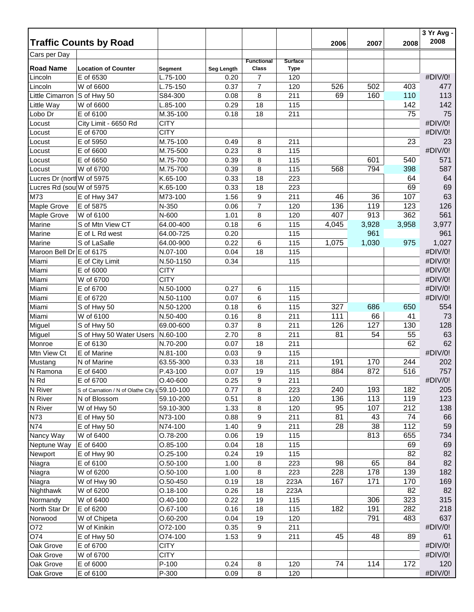| Cars per Day<br><b>Surface</b><br><b>Functional</b><br><b>Road Name</b><br><b>Class</b><br><b>Location of Counter</b><br><b>Type</b><br>Seg Length<br>Segment<br>#DIV/0!<br>E of 6530<br>$\overline{7}$<br>L.75-100<br>Lincoln<br>0.20<br>120<br>$\overline{7}$<br>526<br>502<br>403<br>477<br>W of 6600<br>0.37<br>120<br>Lincoln<br>L.75-150<br>69<br>160<br>110<br>113<br>Little Cimarron S of Hwy 50<br>S84-300<br>0.08<br>8<br>211<br>142<br>142<br>Little Way<br>W of 6600<br>L.85-100<br>0.29<br>18<br>115<br>75<br>E of 6100<br>75<br>Lobo Dr<br>M.35-100<br>0.18<br>18<br>211<br>#DIV/0!<br>City Limit - 6650 Rd<br><b>CITY</b><br>Locust<br>#DIV/0!<br><b>CITY</b><br>E of 6700<br>Locust<br>23<br>E of 5950<br>M.75-100<br>23<br>Locust<br>0.49<br>8<br>211<br>#DIV/0!<br>M.75-500<br>E of 6600<br>0.23<br>8<br>115<br>Locust<br>M.75-700<br>540<br>571<br>E of 6650<br>0.39<br>8<br>115<br>601<br>Locust<br>587<br>W of 6700<br>8<br>794<br>398<br>M.75-700<br>0.39<br>115<br>568<br>Locust<br>Lucres Dr (north W of 5975<br>18<br>223<br>64<br>K.65-100<br>0.33<br>64<br>69<br>Lucres Rd (sou W of 5975<br>K.65-100<br>0.33<br>18<br>223<br>69<br>63<br>M73<br>36<br>107<br>M73-100<br>1.56<br>9<br>211<br>46<br>E of Hwy 347<br>$\overline{7}$<br>136<br>119<br>123<br>126<br>Maple Grove<br>E of 5875<br>N-350<br>0.06<br>120<br>913<br>362<br>W of 6100<br>407<br>561<br>Maple Grove<br>N-600<br>1.01<br>8<br>120<br>Marine<br>S of Mtn View CT<br>3,928<br>3,958<br>3,977<br>64.00-400<br>0.18<br>6<br>115<br>4,045<br>961<br>Marine<br>961<br>E of L Rd west<br>64.00-725<br>0.20<br>115<br>Marine<br>1,030<br>1,027<br>S of LaSalle<br>64.00-900<br>0.22<br>6<br>115<br>1,075<br>975<br>#DIV/0!<br>Maroon Bell Dr E of 6175<br>N.07-100<br>18<br>115<br>0.04<br>#DIV/0!<br>Miami<br>E of City Limit<br>N.50-1150<br>0.34<br>115<br>#DIV/0!<br><b>CITY</b><br>Miami<br>E of 6000<br>#DIV/0!<br><b>CITY</b><br>Miami<br>W of 6700<br>#DIV/0!<br>Miami<br>E of 6700<br>N.50-1000<br>0.27<br>6<br>115<br>#DIV/0!<br>Miami<br>E of 6720<br>N.50-1100<br>6<br>115<br>0.07<br>6<br>327<br>686<br>554<br>Miami<br>N.50-1200<br>0.18<br>115<br>650<br>S of Hwy 50<br>8<br>111<br>66<br>41<br>73<br>Miami<br>W of 6100<br>N.50-400<br>0.16<br>211<br>8<br>126<br>127<br>128<br>Miguel<br>69.00-600<br>0.37<br>211<br>130<br>S of Hwy 50<br>8<br>63<br>81<br>54<br>55<br>Miguel<br>S of Hwy 50 Water Users<br>N.60-100<br>2.70<br>211<br>62<br>62<br>E of 6130<br>18<br>Monroe<br>N.70-200<br>0.07<br>211<br>Mtn View Ct<br>E of Marine<br>9<br>#DIV/0!<br>N.81-100<br>115<br>0.03<br>18<br>211<br>191<br>170<br>244<br>202<br>Mustang<br>N of Marine<br>63.55-300<br>0.33<br>884<br>872<br>19<br>516<br>757<br>E of 6400<br>P.43-100<br>0.07<br>115<br>#DIV/0!<br>$O.40 - 600$<br>N Rd<br>E of 6700<br>0.25<br>9<br>211<br>240<br>8<br>193<br>182<br>205<br>N River<br>S of Carnation / N of Olathe City 159.10-100<br>0.77<br>223<br>136<br>113<br>N River<br>119<br>123<br>59.10-200<br>0.51<br>8<br>120<br>N of Blossom<br>N River<br>59.10-300<br>1.33<br>8<br>95<br>107<br>212<br>138<br>W of Hwy 50<br>120<br>74<br>66<br>N73<br>9<br>81<br>43<br>E of Hwy 50<br>N73-100<br>0.88<br>211<br>38<br>112<br>59<br>N74<br>9<br>28<br>E of Hwy 50<br>N74-100<br>1.40<br>211<br>Nancy Way<br>O.78-200<br>19<br>813<br>655<br>734<br>W of 6400<br>0.06<br>115<br>69<br>69<br>Neptune Way<br>E of 6400<br>$O.85-100$<br>0.04<br>18<br>115<br>82<br>19<br>82<br>Newport<br>E of Hwy 90<br>$O.25-100$<br>0.24<br>115<br>65<br>84<br>82<br>$O.50 - 100$<br>98<br>Niagra<br>E of 6100<br>1.00<br>8<br>223<br>228<br>178<br>139<br>8<br>182<br>W of 6200<br>$O.50 - 100$<br>1.00<br>223<br>Niagra<br>167<br>171<br>169<br>W of Hwy 90<br>$O.50 - 450$<br>0.19<br>18<br>223A<br>170<br>Niagra<br>82<br>82<br>Nighthawk<br>W of 6200<br>$O.18 - 100$<br>0.26<br>18<br>223A<br>323<br>315<br>306<br>W of 6400<br>$O.40 - 100$<br>0.22<br>19<br>115<br>Normandy<br>182<br>191<br>282<br>218<br>E of 6200<br>O.67-100<br>0.16<br>18<br>115<br>North Star Dr<br>791<br>483<br>637<br>$O.60 - 200$<br>0.04<br>19<br>120<br>Norwood<br>W of Chipeta<br>#DIV/0!<br>O72<br>W of Kinikin<br>O72-100<br>0.35<br>9<br>211<br>O74<br>9<br>45<br>48<br>89<br>E of Hwy 50<br>O74-100<br>1.53<br>61<br>211<br>#DIV/0!<br>Oak Grove<br>E of 6700<br><b>CITY</b><br>#DIV/0!<br><b>CITY</b><br>W of 6700<br>Oak Grove<br>P-100<br>74<br>114<br>172<br>120<br>Oak Grove<br>E of 6000<br>0.24<br>8<br>120<br>P-300<br>#DIV/0!<br>Oak Grove<br>E of 6100<br>0.09<br>8<br>120 |          | <b>Traffic Counts by Road</b> |  |  | 2006 | 2007 | 2008 | 3 Yr Avg -<br>2008 |
|--------------------------------------------------------------------------------------------------------------------------------------------------------------------------------------------------------------------------------------------------------------------------------------------------------------------------------------------------------------------------------------------------------------------------------------------------------------------------------------------------------------------------------------------------------------------------------------------------------------------------------------------------------------------------------------------------------------------------------------------------------------------------------------------------------------------------------------------------------------------------------------------------------------------------------------------------------------------------------------------------------------------------------------------------------------------------------------------------------------------------------------------------------------------------------------------------------------------------------------------------------------------------------------------------------------------------------------------------------------------------------------------------------------------------------------------------------------------------------------------------------------------------------------------------------------------------------------------------------------------------------------------------------------------------------------------------------------------------------------------------------------------------------------------------------------------------------------------------------------------------------------------------------------------------------------------------------------------------------------------------------------------------------------------------------------------------------------------------------------------------------------------------------------------------------------------------------------------------------------------------------------------------------------------------------------------------------------------------------------------------------------------------------------------------------------------------------------------------------------------------------------------------------------------------------------------------------------------------------------------------------------------------------------------------------------------------------------------------------------------------------------------------------------------------------------------------------------------------------------------------------------------------------------------------------------------------------------------------------------------------------------------------------------------------------------------------------------------------------------------------------------------------------------------------------------------------------------------------------------------------------------------------------------------------------------------------------------------------------------------------------------------------------------------------------------------------------------------------------------------------------------------------------------------------------------------------------------------------------------------------------------------------------------------------------------------------------------------------------------------------------------------------------------------------------------------------------------------------------------------------------------------------------------------------------------------------------------------------------------------------------------------------------------------------------------------------------------------------------------------------------------------------------------------------------------------------------------------------------------------------------------------------------------------------------------------------------------------------------------------------------------------------------------------------------------------------------------------------------------------------------------------------------------------------------|----------|-------------------------------|--|--|------|------|------|--------------------|
|                                                                                                                                                                                                                                                                                                                                                                                                                                                                                                                                                                                                                                                                                                                                                                                                                                                                                                                                                                                                                                                                                                                                                                                                                                                                                                                                                                                                                                                                                                                                                                                                                                                                                                                                                                                                                                                                                                                                                                                                                                                                                                                                                                                                                                                                                                                                                                                                                                                                                                                                                                                                                                                                                                                                                                                                                                                                                                                                                                                                                                                                                                                                                                                                                                                                                                                                                                                                                                                                                                                                                                                                                                                                                                                                                                                                                                                                                                                                                                                                                                                                                                                                                                                                                                                                                                                                                                                                                                                                                                                                                        |          |                               |  |  |      |      |      |                    |
|                                                                                                                                                                                                                                                                                                                                                                                                                                                                                                                                                                                                                                                                                                                                                                                                                                                                                                                                                                                                                                                                                                                                                                                                                                                                                                                                                                                                                                                                                                                                                                                                                                                                                                                                                                                                                                                                                                                                                                                                                                                                                                                                                                                                                                                                                                                                                                                                                                                                                                                                                                                                                                                                                                                                                                                                                                                                                                                                                                                                                                                                                                                                                                                                                                                                                                                                                                                                                                                                                                                                                                                                                                                                                                                                                                                                                                                                                                                                                                                                                                                                                                                                                                                                                                                                                                                                                                                                                                                                                                                                                        |          |                               |  |  |      |      |      |                    |
|                                                                                                                                                                                                                                                                                                                                                                                                                                                                                                                                                                                                                                                                                                                                                                                                                                                                                                                                                                                                                                                                                                                                                                                                                                                                                                                                                                                                                                                                                                                                                                                                                                                                                                                                                                                                                                                                                                                                                                                                                                                                                                                                                                                                                                                                                                                                                                                                                                                                                                                                                                                                                                                                                                                                                                                                                                                                                                                                                                                                                                                                                                                                                                                                                                                                                                                                                                                                                                                                                                                                                                                                                                                                                                                                                                                                                                                                                                                                                                                                                                                                                                                                                                                                                                                                                                                                                                                                                                                                                                                                                        |          |                               |  |  |      |      |      |                    |
|                                                                                                                                                                                                                                                                                                                                                                                                                                                                                                                                                                                                                                                                                                                                                                                                                                                                                                                                                                                                                                                                                                                                                                                                                                                                                                                                                                                                                                                                                                                                                                                                                                                                                                                                                                                                                                                                                                                                                                                                                                                                                                                                                                                                                                                                                                                                                                                                                                                                                                                                                                                                                                                                                                                                                                                                                                                                                                                                                                                                                                                                                                                                                                                                                                                                                                                                                                                                                                                                                                                                                                                                                                                                                                                                                                                                                                                                                                                                                                                                                                                                                                                                                                                                                                                                                                                                                                                                                                                                                                                                                        |          |                               |  |  |      |      |      |                    |
|                                                                                                                                                                                                                                                                                                                                                                                                                                                                                                                                                                                                                                                                                                                                                                                                                                                                                                                                                                                                                                                                                                                                                                                                                                                                                                                                                                                                                                                                                                                                                                                                                                                                                                                                                                                                                                                                                                                                                                                                                                                                                                                                                                                                                                                                                                                                                                                                                                                                                                                                                                                                                                                                                                                                                                                                                                                                                                                                                                                                                                                                                                                                                                                                                                                                                                                                                                                                                                                                                                                                                                                                                                                                                                                                                                                                                                                                                                                                                                                                                                                                                                                                                                                                                                                                                                                                                                                                                                                                                                                                                        |          |                               |  |  |      |      |      |                    |
|                                                                                                                                                                                                                                                                                                                                                                                                                                                                                                                                                                                                                                                                                                                                                                                                                                                                                                                                                                                                                                                                                                                                                                                                                                                                                                                                                                                                                                                                                                                                                                                                                                                                                                                                                                                                                                                                                                                                                                                                                                                                                                                                                                                                                                                                                                                                                                                                                                                                                                                                                                                                                                                                                                                                                                                                                                                                                                                                                                                                                                                                                                                                                                                                                                                                                                                                                                                                                                                                                                                                                                                                                                                                                                                                                                                                                                                                                                                                                                                                                                                                                                                                                                                                                                                                                                                                                                                                                                                                                                                                                        |          |                               |  |  |      |      |      |                    |
|                                                                                                                                                                                                                                                                                                                                                                                                                                                                                                                                                                                                                                                                                                                                                                                                                                                                                                                                                                                                                                                                                                                                                                                                                                                                                                                                                                                                                                                                                                                                                                                                                                                                                                                                                                                                                                                                                                                                                                                                                                                                                                                                                                                                                                                                                                                                                                                                                                                                                                                                                                                                                                                                                                                                                                                                                                                                                                                                                                                                                                                                                                                                                                                                                                                                                                                                                                                                                                                                                                                                                                                                                                                                                                                                                                                                                                                                                                                                                                                                                                                                                                                                                                                                                                                                                                                                                                                                                                                                                                                                                        |          |                               |  |  |      |      |      |                    |
|                                                                                                                                                                                                                                                                                                                                                                                                                                                                                                                                                                                                                                                                                                                                                                                                                                                                                                                                                                                                                                                                                                                                                                                                                                                                                                                                                                                                                                                                                                                                                                                                                                                                                                                                                                                                                                                                                                                                                                                                                                                                                                                                                                                                                                                                                                                                                                                                                                                                                                                                                                                                                                                                                                                                                                                                                                                                                                                                                                                                                                                                                                                                                                                                                                                                                                                                                                                                                                                                                                                                                                                                                                                                                                                                                                                                                                                                                                                                                                                                                                                                                                                                                                                                                                                                                                                                                                                                                                                                                                                                                        |          |                               |  |  |      |      |      |                    |
|                                                                                                                                                                                                                                                                                                                                                                                                                                                                                                                                                                                                                                                                                                                                                                                                                                                                                                                                                                                                                                                                                                                                                                                                                                                                                                                                                                                                                                                                                                                                                                                                                                                                                                                                                                                                                                                                                                                                                                                                                                                                                                                                                                                                                                                                                                                                                                                                                                                                                                                                                                                                                                                                                                                                                                                                                                                                                                                                                                                                                                                                                                                                                                                                                                                                                                                                                                                                                                                                                                                                                                                                                                                                                                                                                                                                                                                                                                                                                                                                                                                                                                                                                                                                                                                                                                                                                                                                                                                                                                                                                        |          |                               |  |  |      |      |      |                    |
|                                                                                                                                                                                                                                                                                                                                                                                                                                                                                                                                                                                                                                                                                                                                                                                                                                                                                                                                                                                                                                                                                                                                                                                                                                                                                                                                                                                                                                                                                                                                                                                                                                                                                                                                                                                                                                                                                                                                                                                                                                                                                                                                                                                                                                                                                                                                                                                                                                                                                                                                                                                                                                                                                                                                                                                                                                                                                                                                                                                                                                                                                                                                                                                                                                                                                                                                                                                                                                                                                                                                                                                                                                                                                                                                                                                                                                                                                                                                                                                                                                                                                                                                                                                                                                                                                                                                                                                                                                                                                                                                                        |          |                               |  |  |      |      |      |                    |
|                                                                                                                                                                                                                                                                                                                                                                                                                                                                                                                                                                                                                                                                                                                                                                                                                                                                                                                                                                                                                                                                                                                                                                                                                                                                                                                                                                                                                                                                                                                                                                                                                                                                                                                                                                                                                                                                                                                                                                                                                                                                                                                                                                                                                                                                                                                                                                                                                                                                                                                                                                                                                                                                                                                                                                                                                                                                                                                                                                                                                                                                                                                                                                                                                                                                                                                                                                                                                                                                                                                                                                                                                                                                                                                                                                                                                                                                                                                                                                                                                                                                                                                                                                                                                                                                                                                                                                                                                                                                                                                                                        |          |                               |  |  |      |      |      |                    |
|                                                                                                                                                                                                                                                                                                                                                                                                                                                                                                                                                                                                                                                                                                                                                                                                                                                                                                                                                                                                                                                                                                                                                                                                                                                                                                                                                                                                                                                                                                                                                                                                                                                                                                                                                                                                                                                                                                                                                                                                                                                                                                                                                                                                                                                                                                                                                                                                                                                                                                                                                                                                                                                                                                                                                                                                                                                                                                                                                                                                                                                                                                                                                                                                                                                                                                                                                                                                                                                                                                                                                                                                                                                                                                                                                                                                                                                                                                                                                                                                                                                                                                                                                                                                                                                                                                                                                                                                                                                                                                                                                        |          |                               |  |  |      |      |      |                    |
|                                                                                                                                                                                                                                                                                                                                                                                                                                                                                                                                                                                                                                                                                                                                                                                                                                                                                                                                                                                                                                                                                                                                                                                                                                                                                                                                                                                                                                                                                                                                                                                                                                                                                                                                                                                                                                                                                                                                                                                                                                                                                                                                                                                                                                                                                                                                                                                                                                                                                                                                                                                                                                                                                                                                                                                                                                                                                                                                                                                                                                                                                                                                                                                                                                                                                                                                                                                                                                                                                                                                                                                                                                                                                                                                                                                                                                                                                                                                                                                                                                                                                                                                                                                                                                                                                                                                                                                                                                                                                                                                                        |          |                               |  |  |      |      |      |                    |
|                                                                                                                                                                                                                                                                                                                                                                                                                                                                                                                                                                                                                                                                                                                                                                                                                                                                                                                                                                                                                                                                                                                                                                                                                                                                                                                                                                                                                                                                                                                                                                                                                                                                                                                                                                                                                                                                                                                                                                                                                                                                                                                                                                                                                                                                                                                                                                                                                                                                                                                                                                                                                                                                                                                                                                                                                                                                                                                                                                                                                                                                                                                                                                                                                                                                                                                                                                                                                                                                                                                                                                                                                                                                                                                                                                                                                                                                                                                                                                                                                                                                                                                                                                                                                                                                                                                                                                                                                                                                                                                                                        |          |                               |  |  |      |      |      |                    |
|                                                                                                                                                                                                                                                                                                                                                                                                                                                                                                                                                                                                                                                                                                                                                                                                                                                                                                                                                                                                                                                                                                                                                                                                                                                                                                                                                                                                                                                                                                                                                                                                                                                                                                                                                                                                                                                                                                                                                                                                                                                                                                                                                                                                                                                                                                                                                                                                                                                                                                                                                                                                                                                                                                                                                                                                                                                                                                                                                                                                                                                                                                                                                                                                                                                                                                                                                                                                                                                                                                                                                                                                                                                                                                                                                                                                                                                                                                                                                                                                                                                                                                                                                                                                                                                                                                                                                                                                                                                                                                                                                        |          |                               |  |  |      |      |      |                    |
|                                                                                                                                                                                                                                                                                                                                                                                                                                                                                                                                                                                                                                                                                                                                                                                                                                                                                                                                                                                                                                                                                                                                                                                                                                                                                                                                                                                                                                                                                                                                                                                                                                                                                                                                                                                                                                                                                                                                                                                                                                                                                                                                                                                                                                                                                                                                                                                                                                                                                                                                                                                                                                                                                                                                                                                                                                                                                                                                                                                                                                                                                                                                                                                                                                                                                                                                                                                                                                                                                                                                                                                                                                                                                                                                                                                                                                                                                                                                                                                                                                                                                                                                                                                                                                                                                                                                                                                                                                                                                                                                                        |          |                               |  |  |      |      |      |                    |
|                                                                                                                                                                                                                                                                                                                                                                                                                                                                                                                                                                                                                                                                                                                                                                                                                                                                                                                                                                                                                                                                                                                                                                                                                                                                                                                                                                                                                                                                                                                                                                                                                                                                                                                                                                                                                                                                                                                                                                                                                                                                                                                                                                                                                                                                                                                                                                                                                                                                                                                                                                                                                                                                                                                                                                                                                                                                                                                                                                                                                                                                                                                                                                                                                                                                                                                                                                                                                                                                                                                                                                                                                                                                                                                                                                                                                                                                                                                                                                                                                                                                                                                                                                                                                                                                                                                                                                                                                                                                                                                                                        |          |                               |  |  |      |      |      |                    |
|                                                                                                                                                                                                                                                                                                                                                                                                                                                                                                                                                                                                                                                                                                                                                                                                                                                                                                                                                                                                                                                                                                                                                                                                                                                                                                                                                                                                                                                                                                                                                                                                                                                                                                                                                                                                                                                                                                                                                                                                                                                                                                                                                                                                                                                                                                                                                                                                                                                                                                                                                                                                                                                                                                                                                                                                                                                                                                                                                                                                                                                                                                                                                                                                                                                                                                                                                                                                                                                                                                                                                                                                                                                                                                                                                                                                                                                                                                                                                                                                                                                                                                                                                                                                                                                                                                                                                                                                                                                                                                                                                        |          |                               |  |  |      |      |      |                    |
|                                                                                                                                                                                                                                                                                                                                                                                                                                                                                                                                                                                                                                                                                                                                                                                                                                                                                                                                                                                                                                                                                                                                                                                                                                                                                                                                                                                                                                                                                                                                                                                                                                                                                                                                                                                                                                                                                                                                                                                                                                                                                                                                                                                                                                                                                                                                                                                                                                                                                                                                                                                                                                                                                                                                                                                                                                                                                                                                                                                                                                                                                                                                                                                                                                                                                                                                                                                                                                                                                                                                                                                                                                                                                                                                                                                                                                                                                                                                                                                                                                                                                                                                                                                                                                                                                                                                                                                                                                                                                                                                                        |          |                               |  |  |      |      |      |                    |
|                                                                                                                                                                                                                                                                                                                                                                                                                                                                                                                                                                                                                                                                                                                                                                                                                                                                                                                                                                                                                                                                                                                                                                                                                                                                                                                                                                                                                                                                                                                                                                                                                                                                                                                                                                                                                                                                                                                                                                                                                                                                                                                                                                                                                                                                                                                                                                                                                                                                                                                                                                                                                                                                                                                                                                                                                                                                                                                                                                                                                                                                                                                                                                                                                                                                                                                                                                                                                                                                                                                                                                                                                                                                                                                                                                                                                                                                                                                                                                                                                                                                                                                                                                                                                                                                                                                                                                                                                                                                                                                                                        |          |                               |  |  |      |      |      |                    |
|                                                                                                                                                                                                                                                                                                                                                                                                                                                                                                                                                                                                                                                                                                                                                                                                                                                                                                                                                                                                                                                                                                                                                                                                                                                                                                                                                                                                                                                                                                                                                                                                                                                                                                                                                                                                                                                                                                                                                                                                                                                                                                                                                                                                                                                                                                                                                                                                                                                                                                                                                                                                                                                                                                                                                                                                                                                                                                                                                                                                                                                                                                                                                                                                                                                                                                                                                                                                                                                                                                                                                                                                                                                                                                                                                                                                                                                                                                                                                                                                                                                                                                                                                                                                                                                                                                                                                                                                                                                                                                                                                        |          |                               |  |  |      |      |      |                    |
|                                                                                                                                                                                                                                                                                                                                                                                                                                                                                                                                                                                                                                                                                                                                                                                                                                                                                                                                                                                                                                                                                                                                                                                                                                                                                                                                                                                                                                                                                                                                                                                                                                                                                                                                                                                                                                                                                                                                                                                                                                                                                                                                                                                                                                                                                                                                                                                                                                                                                                                                                                                                                                                                                                                                                                                                                                                                                                                                                                                                                                                                                                                                                                                                                                                                                                                                                                                                                                                                                                                                                                                                                                                                                                                                                                                                                                                                                                                                                                                                                                                                                                                                                                                                                                                                                                                                                                                                                                                                                                                                                        |          |                               |  |  |      |      |      |                    |
|                                                                                                                                                                                                                                                                                                                                                                                                                                                                                                                                                                                                                                                                                                                                                                                                                                                                                                                                                                                                                                                                                                                                                                                                                                                                                                                                                                                                                                                                                                                                                                                                                                                                                                                                                                                                                                                                                                                                                                                                                                                                                                                                                                                                                                                                                                                                                                                                                                                                                                                                                                                                                                                                                                                                                                                                                                                                                                                                                                                                                                                                                                                                                                                                                                                                                                                                                                                                                                                                                                                                                                                                                                                                                                                                                                                                                                                                                                                                                                                                                                                                                                                                                                                                                                                                                                                                                                                                                                                                                                                                                        |          |                               |  |  |      |      |      |                    |
|                                                                                                                                                                                                                                                                                                                                                                                                                                                                                                                                                                                                                                                                                                                                                                                                                                                                                                                                                                                                                                                                                                                                                                                                                                                                                                                                                                                                                                                                                                                                                                                                                                                                                                                                                                                                                                                                                                                                                                                                                                                                                                                                                                                                                                                                                                                                                                                                                                                                                                                                                                                                                                                                                                                                                                                                                                                                                                                                                                                                                                                                                                                                                                                                                                                                                                                                                                                                                                                                                                                                                                                                                                                                                                                                                                                                                                                                                                                                                                                                                                                                                                                                                                                                                                                                                                                                                                                                                                                                                                                                                        |          |                               |  |  |      |      |      |                    |
|                                                                                                                                                                                                                                                                                                                                                                                                                                                                                                                                                                                                                                                                                                                                                                                                                                                                                                                                                                                                                                                                                                                                                                                                                                                                                                                                                                                                                                                                                                                                                                                                                                                                                                                                                                                                                                                                                                                                                                                                                                                                                                                                                                                                                                                                                                                                                                                                                                                                                                                                                                                                                                                                                                                                                                                                                                                                                                                                                                                                                                                                                                                                                                                                                                                                                                                                                                                                                                                                                                                                                                                                                                                                                                                                                                                                                                                                                                                                                                                                                                                                                                                                                                                                                                                                                                                                                                                                                                                                                                                                                        |          |                               |  |  |      |      |      |                    |
|                                                                                                                                                                                                                                                                                                                                                                                                                                                                                                                                                                                                                                                                                                                                                                                                                                                                                                                                                                                                                                                                                                                                                                                                                                                                                                                                                                                                                                                                                                                                                                                                                                                                                                                                                                                                                                                                                                                                                                                                                                                                                                                                                                                                                                                                                                                                                                                                                                                                                                                                                                                                                                                                                                                                                                                                                                                                                                                                                                                                                                                                                                                                                                                                                                                                                                                                                                                                                                                                                                                                                                                                                                                                                                                                                                                                                                                                                                                                                                                                                                                                                                                                                                                                                                                                                                                                                                                                                                                                                                                                                        |          |                               |  |  |      |      |      |                    |
|                                                                                                                                                                                                                                                                                                                                                                                                                                                                                                                                                                                                                                                                                                                                                                                                                                                                                                                                                                                                                                                                                                                                                                                                                                                                                                                                                                                                                                                                                                                                                                                                                                                                                                                                                                                                                                                                                                                                                                                                                                                                                                                                                                                                                                                                                                                                                                                                                                                                                                                                                                                                                                                                                                                                                                                                                                                                                                                                                                                                                                                                                                                                                                                                                                                                                                                                                                                                                                                                                                                                                                                                                                                                                                                                                                                                                                                                                                                                                                                                                                                                                                                                                                                                                                                                                                                                                                                                                                                                                                                                                        |          |                               |  |  |      |      |      |                    |
|                                                                                                                                                                                                                                                                                                                                                                                                                                                                                                                                                                                                                                                                                                                                                                                                                                                                                                                                                                                                                                                                                                                                                                                                                                                                                                                                                                                                                                                                                                                                                                                                                                                                                                                                                                                                                                                                                                                                                                                                                                                                                                                                                                                                                                                                                                                                                                                                                                                                                                                                                                                                                                                                                                                                                                                                                                                                                                                                                                                                                                                                                                                                                                                                                                                                                                                                                                                                                                                                                                                                                                                                                                                                                                                                                                                                                                                                                                                                                                                                                                                                                                                                                                                                                                                                                                                                                                                                                                                                                                                                                        |          |                               |  |  |      |      |      |                    |
|                                                                                                                                                                                                                                                                                                                                                                                                                                                                                                                                                                                                                                                                                                                                                                                                                                                                                                                                                                                                                                                                                                                                                                                                                                                                                                                                                                                                                                                                                                                                                                                                                                                                                                                                                                                                                                                                                                                                                                                                                                                                                                                                                                                                                                                                                                                                                                                                                                                                                                                                                                                                                                                                                                                                                                                                                                                                                                                                                                                                                                                                                                                                                                                                                                                                                                                                                                                                                                                                                                                                                                                                                                                                                                                                                                                                                                                                                                                                                                                                                                                                                                                                                                                                                                                                                                                                                                                                                                                                                                                                                        |          |                               |  |  |      |      |      |                    |
|                                                                                                                                                                                                                                                                                                                                                                                                                                                                                                                                                                                                                                                                                                                                                                                                                                                                                                                                                                                                                                                                                                                                                                                                                                                                                                                                                                                                                                                                                                                                                                                                                                                                                                                                                                                                                                                                                                                                                                                                                                                                                                                                                                                                                                                                                                                                                                                                                                                                                                                                                                                                                                                                                                                                                                                                                                                                                                                                                                                                                                                                                                                                                                                                                                                                                                                                                                                                                                                                                                                                                                                                                                                                                                                                                                                                                                                                                                                                                                                                                                                                                                                                                                                                                                                                                                                                                                                                                                                                                                                                                        |          |                               |  |  |      |      |      |                    |
|                                                                                                                                                                                                                                                                                                                                                                                                                                                                                                                                                                                                                                                                                                                                                                                                                                                                                                                                                                                                                                                                                                                                                                                                                                                                                                                                                                                                                                                                                                                                                                                                                                                                                                                                                                                                                                                                                                                                                                                                                                                                                                                                                                                                                                                                                                                                                                                                                                                                                                                                                                                                                                                                                                                                                                                                                                                                                                                                                                                                                                                                                                                                                                                                                                                                                                                                                                                                                                                                                                                                                                                                                                                                                                                                                                                                                                                                                                                                                                                                                                                                                                                                                                                                                                                                                                                                                                                                                                                                                                                                                        |          |                               |  |  |      |      |      |                    |
|                                                                                                                                                                                                                                                                                                                                                                                                                                                                                                                                                                                                                                                                                                                                                                                                                                                                                                                                                                                                                                                                                                                                                                                                                                                                                                                                                                                                                                                                                                                                                                                                                                                                                                                                                                                                                                                                                                                                                                                                                                                                                                                                                                                                                                                                                                                                                                                                                                                                                                                                                                                                                                                                                                                                                                                                                                                                                                                                                                                                                                                                                                                                                                                                                                                                                                                                                                                                                                                                                                                                                                                                                                                                                                                                                                                                                                                                                                                                                                                                                                                                                                                                                                                                                                                                                                                                                                                                                                                                                                                                                        |          |                               |  |  |      |      |      |                    |
|                                                                                                                                                                                                                                                                                                                                                                                                                                                                                                                                                                                                                                                                                                                                                                                                                                                                                                                                                                                                                                                                                                                                                                                                                                                                                                                                                                                                                                                                                                                                                                                                                                                                                                                                                                                                                                                                                                                                                                                                                                                                                                                                                                                                                                                                                                                                                                                                                                                                                                                                                                                                                                                                                                                                                                                                                                                                                                                                                                                                                                                                                                                                                                                                                                                                                                                                                                                                                                                                                                                                                                                                                                                                                                                                                                                                                                                                                                                                                                                                                                                                                                                                                                                                                                                                                                                                                                                                                                                                                                                                                        |          |                               |  |  |      |      |      |                    |
|                                                                                                                                                                                                                                                                                                                                                                                                                                                                                                                                                                                                                                                                                                                                                                                                                                                                                                                                                                                                                                                                                                                                                                                                                                                                                                                                                                                                                                                                                                                                                                                                                                                                                                                                                                                                                                                                                                                                                                                                                                                                                                                                                                                                                                                                                                                                                                                                                                                                                                                                                                                                                                                                                                                                                                                                                                                                                                                                                                                                                                                                                                                                                                                                                                                                                                                                                                                                                                                                                                                                                                                                                                                                                                                                                                                                                                                                                                                                                                                                                                                                                                                                                                                                                                                                                                                                                                                                                                                                                                                                                        |          |                               |  |  |      |      |      |                    |
|                                                                                                                                                                                                                                                                                                                                                                                                                                                                                                                                                                                                                                                                                                                                                                                                                                                                                                                                                                                                                                                                                                                                                                                                                                                                                                                                                                                                                                                                                                                                                                                                                                                                                                                                                                                                                                                                                                                                                                                                                                                                                                                                                                                                                                                                                                                                                                                                                                                                                                                                                                                                                                                                                                                                                                                                                                                                                                                                                                                                                                                                                                                                                                                                                                                                                                                                                                                                                                                                                                                                                                                                                                                                                                                                                                                                                                                                                                                                                                                                                                                                                                                                                                                                                                                                                                                                                                                                                                                                                                                                                        |          |                               |  |  |      |      |      |                    |
|                                                                                                                                                                                                                                                                                                                                                                                                                                                                                                                                                                                                                                                                                                                                                                                                                                                                                                                                                                                                                                                                                                                                                                                                                                                                                                                                                                                                                                                                                                                                                                                                                                                                                                                                                                                                                                                                                                                                                                                                                                                                                                                                                                                                                                                                                                                                                                                                                                                                                                                                                                                                                                                                                                                                                                                                                                                                                                                                                                                                                                                                                                                                                                                                                                                                                                                                                                                                                                                                                                                                                                                                                                                                                                                                                                                                                                                                                                                                                                                                                                                                                                                                                                                                                                                                                                                                                                                                                                                                                                                                                        | N Ramona |                               |  |  |      |      |      |                    |
|                                                                                                                                                                                                                                                                                                                                                                                                                                                                                                                                                                                                                                                                                                                                                                                                                                                                                                                                                                                                                                                                                                                                                                                                                                                                                                                                                                                                                                                                                                                                                                                                                                                                                                                                                                                                                                                                                                                                                                                                                                                                                                                                                                                                                                                                                                                                                                                                                                                                                                                                                                                                                                                                                                                                                                                                                                                                                                                                                                                                                                                                                                                                                                                                                                                                                                                                                                                                                                                                                                                                                                                                                                                                                                                                                                                                                                                                                                                                                                                                                                                                                                                                                                                                                                                                                                                                                                                                                                                                                                                                                        |          |                               |  |  |      |      |      |                    |
|                                                                                                                                                                                                                                                                                                                                                                                                                                                                                                                                                                                                                                                                                                                                                                                                                                                                                                                                                                                                                                                                                                                                                                                                                                                                                                                                                                                                                                                                                                                                                                                                                                                                                                                                                                                                                                                                                                                                                                                                                                                                                                                                                                                                                                                                                                                                                                                                                                                                                                                                                                                                                                                                                                                                                                                                                                                                                                                                                                                                                                                                                                                                                                                                                                                                                                                                                                                                                                                                                                                                                                                                                                                                                                                                                                                                                                                                                                                                                                                                                                                                                                                                                                                                                                                                                                                                                                                                                                                                                                                                                        |          |                               |  |  |      |      |      |                    |
|                                                                                                                                                                                                                                                                                                                                                                                                                                                                                                                                                                                                                                                                                                                                                                                                                                                                                                                                                                                                                                                                                                                                                                                                                                                                                                                                                                                                                                                                                                                                                                                                                                                                                                                                                                                                                                                                                                                                                                                                                                                                                                                                                                                                                                                                                                                                                                                                                                                                                                                                                                                                                                                                                                                                                                                                                                                                                                                                                                                                                                                                                                                                                                                                                                                                                                                                                                                                                                                                                                                                                                                                                                                                                                                                                                                                                                                                                                                                                                                                                                                                                                                                                                                                                                                                                                                                                                                                                                                                                                                                                        |          |                               |  |  |      |      |      |                    |
|                                                                                                                                                                                                                                                                                                                                                                                                                                                                                                                                                                                                                                                                                                                                                                                                                                                                                                                                                                                                                                                                                                                                                                                                                                                                                                                                                                                                                                                                                                                                                                                                                                                                                                                                                                                                                                                                                                                                                                                                                                                                                                                                                                                                                                                                                                                                                                                                                                                                                                                                                                                                                                                                                                                                                                                                                                                                                                                                                                                                                                                                                                                                                                                                                                                                                                                                                                                                                                                                                                                                                                                                                                                                                                                                                                                                                                                                                                                                                                                                                                                                                                                                                                                                                                                                                                                                                                                                                                                                                                                                                        |          |                               |  |  |      |      |      |                    |
|                                                                                                                                                                                                                                                                                                                                                                                                                                                                                                                                                                                                                                                                                                                                                                                                                                                                                                                                                                                                                                                                                                                                                                                                                                                                                                                                                                                                                                                                                                                                                                                                                                                                                                                                                                                                                                                                                                                                                                                                                                                                                                                                                                                                                                                                                                                                                                                                                                                                                                                                                                                                                                                                                                                                                                                                                                                                                                                                                                                                                                                                                                                                                                                                                                                                                                                                                                                                                                                                                                                                                                                                                                                                                                                                                                                                                                                                                                                                                                                                                                                                                                                                                                                                                                                                                                                                                                                                                                                                                                                                                        |          |                               |  |  |      |      |      |                    |
|                                                                                                                                                                                                                                                                                                                                                                                                                                                                                                                                                                                                                                                                                                                                                                                                                                                                                                                                                                                                                                                                                                                                                                                                                                                                                                                                                                                                                                                                                                                                                                                                                                                                                                                                                                                                                                                                                                                                                                                                                                                                                                                                                                                                                                                                                                                                                                                                                                                                                                                                                                                                                                                                                                                                                                                                                                                                                                                                                                                                                                                                                                                                                                                                                                                                                                                                                                                                                                                                                                                                                                                                                                                                                                                                                                                                                                                                                                                                                                                                                                                                                                                                                                                                                                                                                                                                                                                                                                                                                                                                                        |          |                               |  |  |      |      |      |                    |
|                                                                                                                                                                                                                                                                                                                                                                                                                                                                                                                                                                                                                                                                                                                                                                                                                                                                                                                                                                                                                                                                                                                                                                                                                                                                                                                                                                                                                                                                                                                                                                                                                                                                                                                                                                                                                                                                                                                                                                                                                                                                                                                                                                                                                                                                                                                                                                                                                                                                                                                                                                                                                                                                                                                                                                                                                                                                                                                                                                                                                                                                                                                                                                                                                                                                                                                                                                                                                                                                                                                                                                                                                                                                                                                                                                                                                                                                                                                                                                                                                                                                                                                                                                                                                                                                                                                                                                                                                                                                                                                                                        |          |                               |  |  |      |      |      |                    |
|                                                                                                                                                                                                                                                                                                                                                                                                                                                                                                                                                                                                                                                                                                                                                                                                                                                                                                                                                                                                                                                                                                                                                                                                                                                                                                                                                                                                                                                                                                                                                                                                                                                                                                                                                                                                                                                                                                                                                                                                                                                                                                                                                                                                                                                                                                                                                                                                                                                                                                                                                                                                                                                                                                                                                                                                                                                                                                                                                                                                                                                                                                                                                                                                                                                                                                                                                                                                                                                                                                                                                                                                                                                                                                                                                                                                                                                                                                                                                                                                                                                                                                                                                                                                                                                                                                                                                                                                                                                                                                                                                        |          |                               |  |  |      |      |      |                    |
|                                                                                                                                                                                                                                                                                                                                                                                                                                                                                                                                                                                                                                                                                                                                                                                                                                                                                                                                                                                                                                                                                                                                                                                                                                                                                                                                                                                                                                                                                                                                                                                                                                                                                                                                                                                                                                                                                                                                                                                                                                                                                                                                                                                                                                                                                                                                                                                                                                                                                                                                                                                                                                                                                                                                                                                                                                                                                                                                                                                                                                                                                                                                                                                                                                                                                                                                                                                                                                                                                                                                                                                                                                                                                                                                                                                                                                                                                                                                                                                                                                                                                                                                                                                                                                                                                                                                                                                                                                                                                                                                                        |          |                               |  |  |      |      |      |                    |
|                                                                                                                                                                                                                                                                                                                                                                                                                                                                                                                                                                                                                                                                                                                                                                                                                                                                                                                                                                                                                                                                                                                                                                                                                                                                                                                                                                                                                                                                                                                                                                                                                                                                                                                                                                                                                                                                                                                                                                                                                                                                                                                                                                                                                                                                                                                                                                                                                                                                                                                                                                                                                                                                                                                                                                                                                                                                                                                                                                                                                                                                                                                                                                                                                                                                                                                                                                                                                                                                                                                                                                                                                                                                                                                                                                                                                                                                                                                                                                                                                                                                                                                                                                                                                                                                                                                                                                                                                                                                                                                                                        |          |                               |  |  |      |      |      |                    |
|                                                                                                                                                                                                                                                                                                                                                                                                                                                                                                                                                                                                                                                                                                                                                                                                                                                                                                                                                                                                                                                                                                                                                                                                                                                                                                                                                                                                                                                                                                                                                                                                                                                                                                                                                                                                                                                                                                                                                                                                                                                                                                                                                                                                                                                                                                                                                                                                                                                                                                                                                                                                                                                                                                                                                                                                                                                                                                                                                                                                                                                                                                                                                                                                                                                                                                                                                                                                                                                                                                                                                                                                                                                                                                                                                                                                                                                                                                                                                                                                                                                                                                                                                                                                                                                                                                                                                                                                                                                                                                                                                        |          |                               |  |  |      |      |      |                    |
|                                                                                                                                                                                                                                                                                                                                                                                                                                                                                                                                                                                                                                                                                                                                                                                                                                                                                                                                                                                                                                                                                                                                                                                                                                                                                                                                                                                                                                                                                                                                                                                                                                                                                                                                                                                                                                                                                                                                                                                                                                                                                                                                                                                                                                                                                                                                                                                                                                                                                                                                                                                                                                                                                                                                                                                                                                                                                                                                                                                                                                                                                                                                                                                                                                                                                                                                                                                                                                                                                                                                                                                                                                                                                                                                                                                                                                                                                                                                                                                                                                                                                                                                                                                                                                                                                                                                                                                                                                                                                                                                                        |          |                               |  |  |      |      |      |                    |
|                                                                                                                                                                                                                                                                                                                                                                                                                                                                                                                                                                                                                                                                                                                                                                                                                                                                                                                                                                                                                                                                                                                                                                                                                                                                                                                                                                                                                                                                                                                                                                                                                                                                                                                                                                                                                                                                                                                                                                                                                                                                                                                                                                                                                                                                                                                                                                                                                                                                                                                                                                                                                                                                                                                                                                                                                                                                                                                                                                                                                                                                                                                                                                                                                                                                                                                                                                                                                                                                                                                                                                                                                                                                                                                                                                                                                                                                                                                                                                                                                                                                                                                                                                                                                                                                                                                                                                                                                                                                                                                                                        |          |                               |  |  |      |      |      |                    |
|                                                                                                                                                                                                                                                                                                                                                                                                                                                                                                                                                                                                                                                                                                                                                                                                                                                                                                                                                                                                                                                                                                                                                                                                                                                                                                                                                                                                                                                                                                                                                                                                                                                                                                                                                                                                                                                                                                                                                                                                                                                                                                                                                                                                                                                                                                                                                                                                                                                                                                                                                                                                                                                                                                                                                                                                                                                                                                                                                                                                                                                                                                                                                                                                                                                                                                                                                                                                                                                                                                                                                                                                                                                                                                                                                                                                                                                                                                                                                                                                                                                                                                                                                                                                                                                                                                                                                                                                                                                                                                                                                        |          |                               |  |  |      |      |      |                    |
|                                                                                                                                                                                                                                                                                                                                                                                                                                                                                                                                                                                                                                                                                                                                                                                                                                                                                                                                                                                                                                                                                                                                                                                                                                                                                                                                                                                                                                                                                                                                                                                                                                                                                                                                                                                                                                                                                                                                                                                                                                                                                                                                                                                                                                                                                                                                                                                                                                                                                                                                                                                                                                                                                                                                                                                                                                                                                                                                                                                                                                                                                                                                                                                                                                                                                                                                                                                                                                                                                                                                                                                                                                                                                                                                                                                                                                                                                                                                                                                                                                                                                                                                                                                                                                                                                                                                                                                                                                                                                                                                                        |          |                               |  |  |      |      |      |                    |
|                                                                                                                                                                                                                                                                                                                                                                                                                                                                                                                                                                                                                                                                                                                                                                                                                                                                                                                                                                                                                                                                                                                                                                                                                                                                                                                                                                                                                                                                                                                                                                                                                                                                                                                                                                                                                                                                                                                                                                                                                                                                                                                                                                                                                                                                                                                                                                                                                                                                                                                                                                                                                                                                                                                                                                                                                                                                                                                                                                                                                                                                                                                                                                                                                                                                                                                                                                                                                                                                                                                                                                                                                                                                                                                                                                                                                                                                                                                                                                                                                                                                                                                                                                                                                                                                                                                                                                                                                                                                                                                                                        |          |                               |  |  |      |      |      |                    |
|                                                                                                                                                                                                                                                                                                                                                                                                                                                                                                                                                                                                                                                                                                                                                                                                                                                                                                                                                                                                                                                                                                                                                                                                                                                                                                                                                                                                                                                                                                                                                                                                                                                                                                                                                                                                                                                                                                                                                                                                                                                                                                                                                                                                                                                                                                                                                                                                                                                                                                                                                                                                                                                                                                                                                                                                                                                                                                                                                                                                                                                                                                                                                                                                                                                                                                                                                                                                                                                                                                                                                                                                                                                                                                                                                                                                                                                                                                                                                                                                                                                                                                                                                                                                                                                                                                                                                                                                                                                                                                                                                        |          |                               |  |  |      |      |      |                    |
|                                                                                                                                                                                                                                                                                                                                                                                                                                                                                                                                                                                                                                                                                                                                                                                                                                                                                                                                                                                                                                                                                                                                                                                                                                                                                                                                                                                                                                                                                                                                                                                                                                                                                                                                                                                                                                                                                                                                                                                                                                                                                                                                                                                                                                                                                                                                                                                                                                                                                                                                                                                                                                                                                                                                                                                                                                                                                                                                                                                                                                                                                                                                                                                                                                                                                                                                                                                                                                                                                                                                                                                                                                                                                                                                                                                                                                                                                                                                                                                                                                                                                                                                                                                                                                                                                                                                                                                                                                                                                                                                                        |          |                               |  |  |      |      |      |                    |
|                                                                                                                                                                                                                                                                                                                                                                                                                                                                                                                                                                                                                                                                                                                                                                                                                                                                                                                                                                                                                                                                                                                                                                                                                                                                                                                                                                                                                                                                                                                                                                                                                                                                                                                                                                                                                                                                                                                                                                                                                                                                                                                                                                                                                                                                                                                                                                                                                                                                                                                                                                                                                                                                                                                                                                                                                                                                                                                                                                                                                                                                                                                                                                                                                                                                                                                                                                                                                                                                                                                                                                                                                                                                                                                                                                                                                                                                                                                                                                                                                                                                                                                                                                                                                                                                                                                                                                                                                                                                                                                                                        |          |                               |  |  |      |      |      |                    |
|                                                                                                                                                                                                                                                                                                                                                                                                                                                                                                                                                                                                                                                                                                                                                                                                                                                                                                                                                                                                                                                                                                                                                                                                                                                                                                                                                                                                                                                                                                                                                                                                                                                                                                                                                                                                                                                                                                                                                                                                                                                                                                                                                                                                                                                                                                                                                                                                                                                                                                                                                                                                                                                                                                                                                                                                                                                                                                                                                                                                                                                                                                                                                                                                                                                                                                                                                                                                                                                                                                                                                                                                                                                                                                                                                                                                                                                                                                                                                                                                                                                                                                                                                                                                                                                                                                                                                                                                                                                                                                                                                        |          |                               |  |  |      |      |      |                    |
|                                                                                                                                                                                                                                                                                                                                                                                                                                                                                                                                                                                                                                                                                                                                                                                                                                                                                                                                                                                                                                                                                                                                                                                                                                                                                                                                                                                                                                                                                                                                                                                                                                                                                                                                                                                                                                                                                                                                                                                                                                                                                                                                                                                                                                                                                                                                                                                                                                                                                                                                                                                                                                                                                                                                                                                                                                                                                                                                                                                                                                                                                                                                                                                                                                                                                                                                                                                                                                                                                                                                                                                                                                                                                                                                                                                                                                                                                                                                                                                                                                                                                                                                                                                                                                                                                                                                                                                                                                                                                                                                                        |          |                               |  |  |      |      |      |                    |
|                                                                                                                                                                                                                                                                                                                                                                                                                                                                                                                                                                                                                                                                                                                                                                                                                                                                                                                                                                                                                                                                                                                                                                                                                                                                                                                                                                                                                                                                                                                                                                                                                                                                                                                                                                                                                                                                                                                                                                                                                                                                                                                                                                                                                                                                                                                                                                                                                                                                                                                                                                                                                                                                                                                                                                                                                                                                                                                                                                                                                                                                                                                                                                                                                                                                                                                                                                                                                                                                                                                                                                                                                                                                                                                                                                                                                                                                                                                                                                                                                                                                                                                                                                                                                                                                                                                                                                                                                                                                                                                                                        |          |                               |  |  |      |      |      |                    |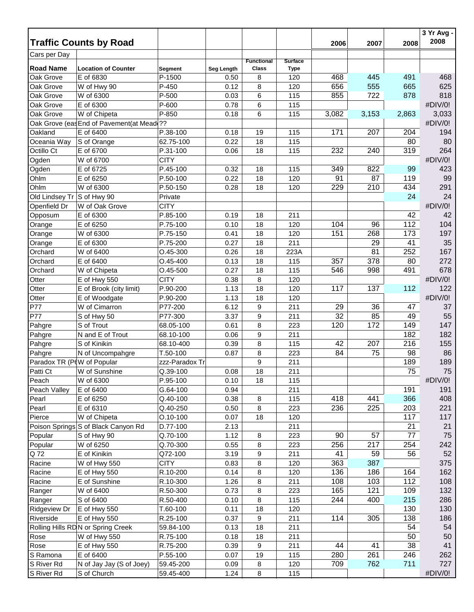| <b>Traffic Counts by Road</b><br>Cars per Day<br><b>Functional</b><br><b>Surface</b><br><b>Road Name</b><br><b>Class</b><br><b>Location of Counter</b><br><b>Type</b><br>Seg Length<br>Segment<br>E of 6830<br>468<br>445<br>491<br>468<br>Oak Grove<br>P-1500<br>8<br>0.50<br>120<br>555<br>625<br>656<br>665<br>Oak Grove<br>W of Hwy 90<br>P-450<br>0.12<br>8<br>120<br>818<br>855<br>722<br>878<br>Oak Grove<br>W of 6300<br>P-500<br>0.03<br>6<br>115<br>#DIV/0!<br>E of 6300<br>P-600<br>Oak Grove<br>0.78<br>6<br>115<br>P-850<br>3,082<br>3,033<br>Oak Grove<br>W of Chipeta<br>0.18<br>6<br>115<br>3,153<br>2,863<br>#DIV/0!<br>Oak Grove (eas End of Pavement(at Mead ??<br>Oakland<br>E of 6400<br>171<br>204<br>194<br>P.38-100<br>0.18<br>19<br>115<br>207<br>80<br>0.22<br>18<br>Oceania Way<br>S of Orange<br>62.75-100<br>115<br>80<br>Octillo Ct<br>E of 6700<br>232<br>240<br>319<br>264<br>P.31-100<br>18<br>115<br>0.06<br>#DIV/0!<br>W of 6700<br><b>CITY</b><br>Ogden<br>E of 6725<br>822<br>423<br>Ogden<br>P.45-100<br>0.32<br>18<br>115<br>349<br>99<br>87<br>99<br>Ohlm<br>E of 6250<br>18<br>120<br>91<br>P.50-100<br>0.22<br>119<br>W of 6300<br>434<br>291<br>Ohlm<br>P.50-150<br>18<br>120<br>229<br>210<br>0.28<br>24<br>24<br>Old Lindsey Tr<br>S of Hwy 90<br>Private<br>#DIV/0!<br><b>CITY</b><br>Openfield Dr<br>W of Oak Grove<br>42<br>E of 6300<br>P.85-100<br>18<br>211<br>42<br>Opposum<br>0.19<br>104<br>E of 6250<br>104<br>112<br>P.75-100<br>0.10<br>18<br>120<br>96<br>Orange<br>151<br>197<br>268<br>173<br>W of 6300<br>P.75-150<br>0.41<br>18<br>120<br>Orange<br>29<br>35<br>P.75-200<br>18<br>211<br>41<br>E of 6300<br>0.27<br>Orange<br>252<br>167<br>18<br>81<br>Orchard<br>W of 6400<br>O.45-300<br>0.26<br>223A<br>378<br>272<br>357<br>Orchard<br>E of 6400<br>$O.45 - 400$<br>18<br>115<br>80<br>0.13<br>678<br>546<br>998<br>491<br>Orchard<br>$O.45 - 500$<br>0.27<br>18<br>115<br>W of Chipeta<br>#DIV/0!<br><b>CITY</b><br>8<br>120<br>Otter<br>E of Hwy 550<br>0.38<br>137<br>18<br>117<br>112<br>122<br>E of Brook (city limit)<br>P.90-200<br>1.13<br>120<br>Otter<br>#DIV/0!<br>E of Woodgate<br>P.90-200<br>1.13<br>18<br>120<br>Otter<br>P77<br>29<br>36<br>37<br>W of Cimarron<br>P77-200<br>6.12<br>9<br>211<br>47<br>32<br>85<br>55<br>P77<br>9<br>49<br>S of Hwy 50<br>P77-300<br>3.37<br>211<br>172<br>147<br>S of Trout<br>8<br>120<br>149<br>Pahgre<br>68.05-100<br>0.61<br>223<br>N and E of Trout<br>$\boldsymbol{9}$<br>182<br>182<br>68.10-100<br>0.06<br>211<br>Pahgre<br>155<br>S of Kinikin<br>8<br>42<br>207<br>216<br>Pahgre<br>68.10-400<br>0.39<br>115<br>86<br>75<br>8<br>223<br>84<br>98<br>N of Uncompahgre<br>T.50-100<br>0.87<br>$\boldsymbol{9}$<br>189<br>Paradox TR (P(W of Popular<br>211<br>189<br>zzz-Paradox Tr<br>75<br>75<br>18<br>W of Sunshine<br>Q.39-100<br>0.08<br>211<br>#DIV/0!<br>Peach<br>W of 6300<br>P.95-100<br>0.10<br>18<br>115<br>G.64-100<br>191<br>191<br>Peach Valley<br>E of 6400<br>0.94<br>211<br>E of 6250<br>Q.40-100<br>418<br>441<br>366<br>408<br>Pearl<br>0.38<br>8<br>115<br>E of 6310<br>Q.40-250<br>236<br>225<br>203<br>221<br>Pearl<br>0.50<br>8<br>223<br>W of Chipeta<br>$O.10 - 100$<br>18<br>117<br>117<br>Pierce<br>0.07<br>120<br>21<br>21<br>Poison Springs S of Black Canyon Rd<br>D.77-100<br>2.13<br>211<br>Q.70-100<br>90<br>57<br>77<br>75<br>Popular<br>S of Hwy 90<br>1.12<br>8<br>223<br>256<br>217<br>254<br>242<br>Popular<br>W of 6250<br>Q.70-300<br>0.55<br>8<br>223<br>52<br>Q 72<br>41<br>59<br>56<br>E of Kinikin<br>Q72-100<br>3.19<br>9<br>211<br>363<br>375<br><b>CITY</b><br>387<br>W of Hwy 550<br>0.83<br>8<br>120<br>Racine<br>162<br>136<br>164<br>E of Hwy 550<br>R.10-200<br>0.14<br>8<br>120<br>186<br>Racine<br>108<br>103<br>112<br>108<br>E of Sunshine<br>R.10-300<br>1.26<br>8<br>211<br>Racine<br>165<br>121<br>109<br>132<br>W of 6400<br>R.50-300<br>0.73<br>8<br>Ranger<br>223<br>215<br>8<br>244<br>400<br>286<br>S of 6400<br>R.50-400<br>115<br>0.10<br>130<br>130<br>E of Hwy 550<br>T.60-100<br>18<br>0.11<br>120<br>114<br>305<br>138<br>186<br>E of Hwy 550<br>R.25-100<br>0.37<br>9<br>211<br>54<br>54<br>Rolling Hills RDN or Spring Creek<br>0.13<br>18<br>211<br>59.84-100<br>50<br>50<br>R.75-100<br>0.18<br>18<br>211<br>W of Hwy 550<br>38<br>41<br>41<br>E of Hwy 550<br>R.75-200<br>0.39<br>9<br>211<br>44<br>280<br>261<br>246<br>262<br>S Ramona<br>E of 6400<br>P.55-100<br>19<br>0.07<br>115<br>762<br>711<br>727<br>N of Jay Jay (S of Joey)<br>59.45-200<br>8<br>120<br>709<br>0.09<br>#DIV/0!<br>S of Church<br>59.45-400<br>1.24<br>8<br>115 |                     |  |  |      |      |      | 3 Yr Avg -<br>2008 |
|----------------------------------------------------------------------------------------------------------------------------------------------------------------------------------------------------------------------------------------------------------------------------------------------------------------------------------------------------------------------------------------------------------------------------------------------------------------------------------------------------------------------------------------------------------------------------------------------------------------------------------------------------------------------------------------------------------------------------------------------------------------------------------------------------------------------------------------------------------------------------------------------------------------------------------------------------------------------------------------------------------------------------------------------------------------------------------------------------------------------------------------------------------------------------------------------------------------------------------------------------------------------------------------------------------------------------------------------------------------------------------------------------------------------------------------------------------------------------------------------------------------------------------------------------------------------------------------------------------------------------------------------------------------------------------------------------------------------------------------------------------------------------------------------------------------------------------------------------------------------------------------------------------------------------------------------------------------------------------------------------------------------------------------------------------------------------------------------------------------------------------------------------------------------------------------------------------------------------------------------------------------------------------------------------------------------------------------------------------------------------------------------------------------------------------------------------------------------------------------------------------------------------------------------------------------------------------------------------------------------------------------------------------------------------------------------------------------------------------------------------------------------------------------------------------------------------------------------------------------------------------------------------------------------------------------------------------------------------------------------------------------------------------------------------------------------------------------------------------------------------------------------------------------------------------------------------------------------------------------------------------------------------------------------------------------------------------------------------------------------------------------------------------------------------------------------------------------------------------------------------------------------------------------------------------------------------------------------------------------------------------------------------------------------------------------------------------------------------------------------------------------------------------------------------------------------------------------------------------------------------------------------------------------------------------------------------------------------------------------------------------------------------------------------------------------------------------------------------------------------------------------------------------------------------------------------------------------------------------------------------------------------------------------------------------------------------------------------------------------------------------------------------------------------------------------------------------------------------------------------------------------------------------------------------------------------------------------------------------------------------------------------------|---------------------|--|--|------|------|------|--------------------|
|                                                                                                                                                                                                                                                                                                                                                                                                                                                                                                                                                                                                                                                                                                                                                                                                                                                                                                                                                                                                                                                                                                                                                                                                                                                                                                                                                                                                                                                                                                                                                                                                                                                                                                                                                                                                                                                                                                                                                                                                                                                                                                                                                                                                                                                                                                                                                                                                                                                                                                                                                                                                                                                                                                                                                                                                                                                                                                                                                                                                                                                                                                                                                                                                                                                                                                                                                                                                                                                                                                                                                                                                                                                                                                                                                                                                                                                                                                                                                                                                                                                                                                                                                                                                                                                                                                                                                                                                                                                                                                                                                                                                                                                    |                     |  |  | 2006 | 2007 | 2008 |                    |
|                                                                                                                                                                                                                                                                                                                                                                                                                                                                                                                                                                                                                                                                                                                                                                                                                                                                                                                                                                                                                                                                                                                                                                                                                                                                                                                                                                                                                                                                                                                                                                                                                                                                                                                                                                                                                                                                                                                                                                                                                                                                                                                                                                                                                                                                                                                                                                                                                                                                                                                                                                                                                                                                                                                                                                                                                                                                                                                                                                                                                                                                                                                                                                                                                                                                                                                                                                                                                                                                                                                                                                                                                                                                                                                                                                                                                                                                                                                                                                                                                                                                                                                                                                                                                                                                                                                                                                                                                                                                                                                                                                                                                                                    |                     |  |  |      |      |      |                    |
|                                                                                                                                                                                                                                                                                                                                                                                                                                                                                                                                                                                                                                                                                                                                                                                                                                                                                                                                                                                                                                                                                                                                                                                                                                                                                                                                                                                                                                                                                                                                                                                                                                                                                                                                                                                                                                                                                                                                                                                                                                                                                                                                                                                                                                                                                                                                                                                                                                                                                                                                                                                                                                                                                                                                                                                                                                                                                                                                                                                                                                                                                                                                                                                                                                                                                                                                                                                                                                                                                                                                                                                                                                                                                                                                                                                                                                                                                                                                                                                                                                                                                                                                                                                                                                                                                                                                                                                                                                                                                                                                                                                                                                                    |                     |  |  |      |      |      |                    |
|                                                                                                                                                                                                                                                                                                                                                                                                                                                                                                                                                                                                                                                                                                                                                                                                                                                                                                                                                                                                                                                                                                                                                                                                                                                                                                                                                                                                                                                                                                                                                                                                                                                                                                                                                                                                                                                                                                                                                                                                                                                                                                                                                                                                                                                                                                                                                                                                                                                                                                                                                                                                                                                                                                                                                                                                                                                                                                                                                                                                                                                                                                                                                                                                                                                                                                                                                                                                                                                                                                                                                                                                                                                                                                                                                                                                                                                                                                                                                                                                                                                                                                                                                                                                                                                                                                                                                                                                                                                                                                                                                                                                                                                    |                     |  |  |      |      |      |                    |
|                                                                                                                                                                                                                                                                                                                                                                                                                                                                                                                                                                                                                                                                                                                                                                                                                                                                                                                                                                                                                                                                                                                                                                                                                                                                                                                                                                                                                                                                                                                                                                                                                                                                                                                                                                                                                                                                                                                                                                                                                                                                                                                                                                                                                                                                                                                                                                                                                                                                                                                                                                                                                                                                                                                                                                                                                                                                                                                                                                                                                                                                                                                                                                                                                                                                                                                                                                                                                                                                                                                                                                                                                                                                                                                                                                                                                                                                                                                                                                                                                                                                                                                                                                                                                                                                                                                                                                                                                                                                                                                                                                                                                                                    |                     |  |  |      |      |      |                    |
|                                                                                                                                                                                                                                                                                                                                                                                                                                                                                                                                                                                                                                                                                                                                                                                                                                                                                                                                                                                                                                                                                                                                                                                                                                                                                                                                                                                                                                                                                                                                                                                                                                                                                                                                                                                                                                                                                                                                                                                                                                                                                                                                                                                                                                                                                                                                                                                                                                                                                                                                                                                                                                                                                                                                                                                                                                                                                                                                                                                                                                                                                                                                                                                                                                                                                                                                                                                                                                                                                                                                                                                                                                                                                                                                                                                                                                                                                                                                                                                                                                                                                                                                                                                                                                                                                                                                                                                                                                                                                                                                                                                                                                                    |                     |  |  |      |      |      |                    |
|                                                                                                                                                                                                                                                                                                                                                                                                                                                                                                                                                                                                                                                                                                                                                                                                                                                                                                                                                                                                                                                                                                                                                                                                                                                                                                                                                                                                                                                                                                                                                                                                                                                                                                                                                                                                                                                                                                                                                                                                                                                                                                                                                                                                                                                                                                                                                                                                                                                                                                                                                                                                                                                                                                                                                                                                                                                                                                                                                                                                                                                                                                                                                                                                                                                                                                                                                                                                                                                                                                                                                                                                                                                                                                                                                                                                                                                                                                                                                                                                                                                                                                                                                                                                                                                                                                                                                                                                                                                                                                                                                                                                                                                    |                     |  |  |      |      |      |                    |
|                                                                                                                                                                                                                                                                                                                                                                                                                                                                                                                                                                                                                                                                                                                                                                                                                                                                                                                                                                                                                                                                                                                                                                                                                                                                                                                                                                                                                                                                                                                                                                                                                                                                                                                                                                                                                                                                                                                                                                                                                                                                                                                                                                                                                                                                                                                                                                                                                                                                                                                                                                                                                                                                                                                                                                                                                                                                                                                                                                                                                                                                                                                                                                                                                                                                                                                                                                                                                                                                                                                                                                                                                                                                                                                                                                                                                                                                                                                                                                                                                                                                                                                                                                                                                                                                                                                                                                                                                                                                                                                                                                                                                                                    |                     |  |  |      |      |      |                    |
|                                                                                                                                                                                                                                                                                                                                                                                                                                                                                                                                                                                                                                                                                                                                                                                                                                                                                                                                                                                                                                                                                                                                                                                                                                                                                                                                                                                                                                                                                                                                                                                                                                                                                                                                                                                                                                                                                                                                                                                                                                                                                                                                                                                                                                                                                                                                                                                                                                                                                                                                                                                                                                                                                                                                                                                                                                                                                                                                                                                                                                                                                                                                                                                                                                                                                                                                                                                                                                                                                                                                                                                                                                                                                                                                                                                                                                                                                                                                                                                                                                                                                                                                                                                                                                                                                                                                                                                                                                                                                                                                                                                                                                                    |                     |  |  |      |      |      |                    |
|                                                                                                                                                                                                                                                                                                                                                                                                                                                                                                                                                                                                                                                                                                                                                                                                                                                                                                                                                                                                                                                                                                                                                                                                                                                                                                                                                                                                                                                                                                                                                                                                                                                                                                                                                                                                                                                                                                                                                                                                                                                                                                                                                                                                                                                                                                                                                                                                                                                                                                                                                                                                                                                                                                                                                                                                                                                                                                                                                                                                                                                                                                                                                                                                                                                                                                                                                                                                                                                                                                                                                                                                                                                                                                                                                                                                                                                                                                                                                                                                                                                                                                                                                                                                                                                                                                                                                                                                                                                                                                                                                                                                                                                    |                     |  |  |      |      |      |                    |
|                                                                                                                                                                                                                                                                                                                                                                                                                                                                                                                                                                                                                                                                                                                                                                                                                                                                                                                                                                                                                                                                                                                                                                                                                                                                                                                                                                                                                                                                                                                                                                                                                                                                                                                                                                                                                                                                                                                                                                                                                                                                                                                                                                                                                                                                                                                                                                                                                                                                                                                                                                                                                                                                                                                                                                                                                                                                                                                                                                                                                                                                                                                                                                                                                                                                                                                                                                                                                                                                                                                                                                                                                                                                                                                                                                                                                                                                                                                                                                                                                                                                                                                                                                                                                                                                                                                                                                                                                                                                                                                                                                                                                                                    |                     |  |  |      |      |      |                    |
|                                                                                                                                                                                                                                                                                                                                                                                                                                                                                                                                                                                                                                                                                                                                                                                                                                                                                                                                                                                                                                                                                                                                                                                                                                                                                                                                                                                                                                                                                                                                                                                                                                                                                                                                                                                                                                                                                                                                                                                                                                                                                                                                                                                                                                                                                                                                                                                                                                                                                                                                                                                                                                                                                                                                                                                                                                                                                                                                                                                                                                                                                                                                                                                                                                                                                                                                                                                                                                                                                                                                                                                                                                                                                                                                                                                                                                                                                                                                                                                                                                                                                                                                                                                                                                                                                                                                                                                                                                                                                                                                                                                                                                                    |                     |  |  |      |      |      |                    |
|                                                                                                                                                                                                                                                                                                                                                                                                                                                                                                                                                                                                                                                                                                                                                                                                                                                                                                                                                                                                                                                                                                                                                                                                                                                                                                                                                                                                                                                                                                                                                                                                                                                                                                                                                                                                                                                                                                                                                                                                                                                                                                                                                                                                                                                                                                                                                                                                                                                                                                                                                                                                                                                                                                                                                                                                                                                                                                                                                                                                                                                                                                                                                                                                                                                                                                                                                                                                                                                                                                                                                                                                                                                                                                                                                                                                                                                                                                                                                                                                                                                                                                                                                                                                                                                                                                                                                                                                                                                                                                                                                                                                                                                    |                     |  |  |      |      |      |                    |
|                                                                                                                                                                                                                                                                                                                                                                                                                                                                                                                                                                                                                                                                                                                                                                                                                                                                                                                                                                                                                                                                                                                                                                                                                                                                                                                                                                                                                                                                                                                                                                                                                                                                                                                                                                                                                                                                                                                                                                                                                                                                                                                                                                                                                                                                                                                                                                                                                                                                                                                                                                                                                                                                                                                                                                                                                                                                                                                                                                                                                                                                                                                                                                                                                                                                                                                                                                                                                                                                                                                                                                                                                                                                                                                                                                                                                                                                                                                                                                                                                                                                                                                                                                                                                                                                                                                                                                                                                                                                                                                                                                                                                                                    |                     |  |  |      |      |      |                    |
|                                                                                                                                                                                                                                                                                                                                                                                                                                                                                                                                                                                                                                                                                                                                                                                                                                                                                                                                                                                                                                                                                                                                                                                                                                                                                                                                                                                                                                                                                                                                                                                                                                                                                                                                                                                                                                                                                                                                                                                                                                                                                                                                                                                                                                                                                                                                                                                                                                                                                                                                                                                                                                                                                                                                                                                                                                                                                                                                                                                                                                                                                                                                                                                                                                                                                                                                                                                                                                                                                                                                                                                                                                                                                                                                                                                                                                                                                                                                                                                                                                                                                                                                                                                                                                                                                                                                                                                                                                                                                                                                                                                                                                                    |                     |  |  |      |      |      |                    |
|                                                                                                                                                                                                                                                                                                                                                                                                                                                                                                                                                                                                                                                                                                                                                                                                                                                                                                                                                                                                                                                                                                                                                                                                                                                                                                                                                                                                                                                                                                                                                                                                                                                                                                                                                                                                                                                                                                                                                                                                                                                                                                                                                                                                                                                                                                                                                                                                                                                                                                                                                                                                                                                                                                                                                                                                                                                                                                                                                                                                                                                                                                                                                                                                                                                                                                                                                                                                                                                                                                                                                                                                                                                                                                                                                                                                                                                                                                                                                                                                                                                                                                                                                                                                                                                                                                                                                                                                                                                                                                                                                                                                                                                    |                     |  |  |      |      |      |                    |
|                                                                                                                                                                                                                                                                                                                                                                                                                                                                                                                                                                                                                                                                                                                                                                                                                                                                                                                                                                                                                                                                                                                                                                                                                                                                                                                                                                                                                                                                                                                                                                                                                                                                                                                                                                                                                                                                                                                                                                                                                                                                                                                                                                                                                                                                                                                                                                                                                                                                                                                                                                                                                                                                                                                                                                                                                                                                                                                                                                                                                                                                                                                                                                                                                                                                                                                                                                                                                                                                                                                                                                                                                                                                                                                                                                                                                                                                                                                                                                                                                                                                                                                                                                                                                                                                                                                                                                                                                                                                                                                                                                                                                                                    |                     |  |  |      |      |      |                    |
|                                                                                                                                                                                                                                                                                                                                                                                                                                                                                                                                                                                                                                                                                                                                                                                                                                                                                                                                                                                                                                                                                                                                                                                                                                                                                                                                                                                                                                                                                                                                                                                                                                                                                                                                                                                                                                                                                                                                                                                                                                                                                                                                                                                                                                                                                                                                                                                                                                                                                                                                                                                                                                                                                                                                                                                                                                                                                                                                                                                                                                                                                                                                                                                                                                                                                                                                                                                                                                                                                                                                                                                                                                                                                                                                                                                                                                                                                                                                                                                                                                                                                                                                                                                                                                                                                                                                                                                                                                                                                                                                                                                                                                                    |                     |  |  |      |      |      |                    |
|                                                                                                                                                                                                                                                                                                                                                                                                                                                                                                                                                                                                                                                                                                                                                                                                                                                                                                                                                                                                                                                                                                                                                                                                                                                                                                                                                                                                                                                                                                                                                                                                                                                                                                                                                                                                                                                                                                                                                                                                                                                                                                                                                                                                                                                                                                                                                                                                                                                                                                                                                                                                                                                                                                                                                                                                                                                                                                                                                                                                                                                                                                                                                                                                                                                                                                                                                                                                                                                                                                                                                                                                                                                                                                                                                                                                                                                                                                                                                                                                                                                                                                                                                                                                                                                                                                                                                                                                                                                                                                                                                                                                                                                    |                     |  |  |      |      |      |                    |
|                                                                                                                                                                                                                                                                                                                                                                                                                                                                                                                                                                                                                                                                                                                                                                                                                                                                                                                                                                                                                                                                                                                                                                                                                                                                                                                                                                                                                                                                                                                                                                                                                                                                                                                                                                                                                                                                                                                                                                                                                                                                                                                                                                                                                                                                                                                                                                                                                                                                                                                                                                                                                                                                                                                                                                                                                                                                                                                                                                                                                                                                                                                                                                                                                                                                                                                                                                                                                                                                                                                                                                                                                                                                                                                                                                                                                                                                                                                                                                                                                                                                                                                                                                                                                                                                                                                                                                                                                                                                                                                                                                                                                                                    |                     |  |  |      |      |      |                    |
|                                                                                                                                                                                                                                                                                                                                                                                                                                                                                                                                                                                                                                                                                                                                                                                                                                                                                                                                                                                                                                                                                                                                                                                                                                                                                                                                                                                                                                                                                                                                                                                                                                                                                                                                                                                                                                                                                                                                                                                                                                                                                                                                                                                                                                                                                                                                                                                                                                                                                                                                                                                                                                                                                                                                                                                                                                                                                                                                                                                                                                                                                                                                                                                                                                                                                                                                                                                                                                                                                                                                                                                                                                                                                                                                                                                                                                                                                                                                                                                                                                                                                                                                                                                                                                                                                                                                                                                                                                                                                                                                                                                                                                                    |                     |  |  |      |      |      |                    |
|                                                                                                                                                                                                                                                                                                                                                                                                                                                                                                                                                                                                                                                                                                                                                                                                                                                                                                                                                                                                                                                                                                                                                                                                                                                                                                                                                                                                                                                                                                                                                                                                                                                                                                                                                                                                                                                                                                                                                                                                                                                                                                                                                                                                                                                                                                                                                                                                                                                                                                                                                                                                                                                                                                                                                                                                                                                                                                                                                                                                                                                                                                                                                                                                                                                                                                                                                                                                                                                                                                                                                                                                                                                                                                                                                                                                                                                                                                                                                                                                                                                                                                                                                                                                                                                                                                                                                                                                                                                                                                                                                                                                                                                    |                     |  |  |      |      |      |                    |
|                                                                                                                                                                                                                                                                                                                                                                                                                                                                                                                                                                                                                                                                                                                                                                                                                                                                                                                                                                                                                                                                                                                                                                                                                                                                                                                                                                                                                                                                                                                                                                                                                                                                                                                                                                                                                                                                                                                                                                                                                                                                                                                                                                                                                                                                                                                                                                                                                                                                                                                                                                                                                                                                                                                                                                                                                                                                                                                                                                                                                                                                                                                                                                                                                                                                                                                                                                                                                                                                                                                                                                                                                                                                                                                                                                                                                                                                                                                                                                                                                                                                                                                                                                                                                                                                                                                                                                                                                                                                                                                                                                                                                                                    |                     |  |  |      |      |      |                    |
|                                                                                                                                                                                                                                                                                                                                                                                                                                                                                                                                                                                                                                                                                                                                                                                                                                                                                                                                                                                                                                                                                                                                                                                                                                                                                                                                                                                                                                                                                                                                                                                                                                                                                                                                                                                                                                                                                                                                                                                                                                                                                                                                                                                                                                                                                                                                                                                                                                                                                                                                                                                                                                                                                                                                                                                                                                                                                                                                                                                                                                                                                                                                                                                                                                                                                                                                                                                                                                                                                                                                                                                                                                                                                                                                                                                                                                                                                                                                                                                                                                                                                                                                                                                                                                                                                                                                                                                                                                                                                                                                                                                                                                                    |                     |  |  |      |      |      |                    |
|                                                                                                                                                                                                                                                                                                                                                                                                                                                                                                                                                                                                                                                                                                                                                                                                                                                                                                                                                                                                                                                                                                                                                                                                                                                                                                                                                                                                                                                                                                                                                                                                                                                                                                                                                                                                                                                                                                                                                                                                                                                                                                                                                                                                                                                                                                                                                                                                                                                                                                                                                                                                                                                                                                                                                                                                                                                                                                                                                                                                                                                                                                                                                                                                                                                                                                                                                                                                                                                                                                                                                                                                                                                                                                                                                                                                                                                                                                                                                                                                                                                                                                                                                                                                                                                                                                                                                                                                                                                                                                                                                                                                                                                    |                     |  |  |      |      |      |                    |
|                                                                                                                                                                                                                                                                                                                                                                                                                                                                                                                                                                                                                                                                                                                                                                                                                                                                                                                                                                                                                                                                                                                                                                                                                                                                                                                                                                                                                                                                                                                                                                                                                                                                                                                                                                                                                                                                                                                                                                                                                                                                                                                                                                                                                                                                                                                                                                                                                                                                                                                                                                                                                                                                                                                                                                                                                                                                                                                                                                                                                                                                                                                                                                                                                                                                                                                                                                                                                                                                                                                                                                                                                                                                                                                                                                                                                                                                                                                                                                                                                                                                                                                                                                                                                                                                                                                                                                                                                                                                                                                                                                                                                                                    |                     |  |  |      |      |      |                    |
|                                                                                                                                                                                                                                                                                                                                                                                                                                                                                                                                                                                                                                                                                                                                                                                                                                                                                                                                                                                                                                                                                                                                                                                                                                                                                                                                                                                                                                                                                                                                                                                                                                                                                                                                                                                                                                                                                                                                                                                                                                                                                                                                                                                                                                                                                                                                                                                                                                                                                                                                                                                                                                                                                                                                                                                                                                                                                                                                                                                                                                                                                                                                                                                                                                                                                                                                                                                                                                                                                                                                                                                                                                                                                                                                                                                                                                                                                                                                                                                                                                                                                                                                                                                                                                                                                                                                                                                                                                                                                                                                                                                                                                                    |                     |  |  |      |      |      |                    |
|                                                                                                                                                                                                                                                                                                                                                                                                                                                                                                                                                                                                                                                                                                                                                                                                                                                                                                                                                                                                                                                                                                                                                                                                                                                                                                                                                                                                                                                                                                                                                                                                                                                                                                                                                                                                                                                                                                                                                                                                                                                                                                                                                                                                                                                                                                                                                                                                                                                                                                                                                                                                                                                                                                                                                                                                                                                                                                                                                                                                                                                                                                                                                                                                                                                                                                                                                                                                                                                                                                                                                                                                                                                                                                                                                                                                                                                                                                                                                                                                                                                                                                                                                                                                                                                                                                                                                                                                                                                                                                                                                                                                                                                    |                     |  |  |      |      |      |                    |
|                                                                                                                                                                                                                                                                                                                                                                                                                                                                                                                                                                                                                                                                                                                                                                                                                                                                                                                                                                                                                                                                                                                                                                                                                                                                                                                                                                                                                                                                                                                                                                                                                                                                                                                                                                                                                                                                                                                                                                                                                                                                                                                                                                                                                                                                                                                                                                                                                                                                                                                                                                                                                                                                                                                                                                                                                                                                                                                                                                                                                                                                                                                                                                                                                                                                                                                                                                                                                                                                                                                                                                                                                                                                                                                                                                                                                                                                                                                                                                                                                                                                                                                                                                                                                                                                                                                                                                                                                                                                                                                                                                                                                                                    |                     |  |  |      |      |      |                    |
|                                                                                                                                                                                                                                                                                                                                                                                                                                                                                                                                                                                                                                                                                                                                                                                                                                                                                                                                                                                                                                                                                                                                                                                                                                                                                                                                                                                                                                                                                                                                                                                                                                                                                                                                                                                                                                                                                                                                                                                                                                                                                                                                                                                                                                                                                                                                                                                                                                                                                                                                                                                                                                                                                                                                                                                                                                                                                                                                                                                                                                                                                                                                                                                                                                                                                                                                                                                                                                                                                                                                                                                                                                                                                                                                                                                                                                                                                                                                                                                                                                                                                                                                                                                                                                                                                                                                                                                                                                                                                                                                                                                                                                                    |                     |  |  |      |      |      |                    |
|                                                                                                                                                                                                                                                                                                                                                                                                                                                                                                                                                                                                                                                                                                                                                                                                                                                                                                                                                                                                                                                                                                                                                                                                                                                                                                                                                                                                                                                                                                                                                                                                                                                                                                                                                                                                                                                                                                                                                                                                                                                                                                                                                                                                                                                                                                                                                                                                                                                                                                                                                                                                                                                                                                                                                                                                                                                                                                                                                                                                                                                                                                                                                                                                                                                                                                                                                                                                                                                                                                                                                                                                                                                                                                                                                                                                                                                                                                                                                                                                                                                                                                                                                                                                                                                                                                                                                                                                                                                                                                                                                                                                                                                    |                     |  |  |      |      |      |                    |
|                                                                                                                                                                                                                                                                                                                                                                                                                                                                                                                                                                                                                                                                                                                                                                                                                                                                                                                                                                                                                                                                                                                                                                                                                                                                                                                                                                                                                                                                                                                                                                                                                                                                                                                                                                                                                                                                                                                                                                                                                                                                                                                                                                                                                                                                                                                                                                                                                                                                                                                                                                                                                                                                                                                                                                                                                                                                                                                                                                                                                                                                                                                                                                                                                                                                                                                                                                                                                                                                                                                                                                                                                                                                                                                                                                                                                                                                                                                                                                                                                                                                                                                                                                                                                                                                                                                                                                                                                                                                                                                                                                                                                                                    |                     |  |  |      |      |      |                    |
|                                                                                                                                                                                                                                                                                                                                                                                                                                                                                                                                                                                                                                                                                                                                                                                                                                                                                                                                                                                                                                                                                                                                                                                                                                                                                                                                                                                                                                                                                                                                                                                                                                                                                                                                                                                                                                                                                                                                                                                                                                                                                                                                                                                                                                                                                                                                                                                                                                                                                                                                                                                                                                                                                                                                                                                                                                                                                                                                                                                                                                                                                                                                                                                                                                                                                                                                                                                                                                                                                                                                                                                                                                                                                                                                                                                                                                                                                                                                                                                                                                                                                                                                                                                                                                                                                                                                                                                                                                                                                                                                                                                                                                                    |                     |  |  |      |      |      |                    |
|                                                                                                                                                                                                                                                                                                                                                                                                                                                                                                                                                                                                                                                                                                                                                                                                                                                                                                                                                                                                                                                                                                                                                                                                                                                                                                                                                                                                                                                                                                                                                                                                                                                                                                                                                                                                                                                                                                                                                                                                                                                                                                                                                                                                                                                                                                                                                                                                                                                                                                                                                                                                                                                                                                                                                                                                                                                                                                                                                                                                                                                                                                                                                                                                                                                                                                                                                                                                                                                                                                                                                                                                                                                                                                                                                                                                                                                                                                                                                                                                                                                                                                                                                                                                                                                                                                                                                                                                                                                                                                                                                                                                                                                    | Pahgre              |  |  |      |      |      |                    |
|                                                                                                                                                                                                                                                                                                                                                                                                                                                                                                                                                                                                                                                                                                                                                                                                                                                                                                                                                                                                                                                                                                                                                                                                                                                                                                                                                                                                                                                                                                                                                                                                                                                                                                                                                                                                                                                                                                                                                                                                                                                                                                                                                                                                                                                                                                                                                                                                                                                                                                                                                                                                                                                                                                                                                                                                                                                                                                                                                                                                                                                                                                                                                                                                                                                                                                                                                                                                                                                                                                                                                                                                                                                                                                                                                                                                                                                                                                                                                                                                                                                                                                                                                                                                                                                                                                                                                                                                                                                                                                                                                                                                                                                    |                     |  |  |      |      |      |                    |
|                                                                                                                                                                                                                                                                                                                                                                                                                                                                                                                                                                                                                                                                                                                                                                                                                                                                                                                                                                                                                                                                                                                                                                                                                                                                                                                                                                                                                                                                                                                                                                                                                                                                                                                                                                                                                                                                                                                                                                                                                                                                                                                                                                                                                                                                                                                                                                                                                                                                                                                                                                                                                                                                                                                                                                                                                                                                                                                                                                                                                                                                                                                                                                                                                                                                                                                                                                                                                                                                                                                                                                                                                                                                                                                                                                                                                                                                                                                                                                                                                                                                                                                                                                                                                                                                                                                                                                                                                                                                                                                                                                                                                                                    | Patti Ct            |  |  |      |      |      |                    |
|                                                                                                                                                                                                                                                                                                                                                                                                                                                                                                                                                                                                                                                                                                                                                                                                                                                                                                                                                                                                                                                                                                                                                                                                                                                                                                                                                                                                                                                                                                                                                                                                                                                                                                                                                                                                                                                                                                                                                                                                                                                                                                                                                                                                                                                                                                                                                                                                                                                                                                                                                                                                                                                                                                                                                                                                                                                                                                                                                                                                                                                                                                                                                                                                                                                                                                                                                                                                                                                                                                                                                                                                                                                                                                                                                                                                                                                                                                                                                                                                                                                                                                                                                                                                                                                                                                                                                                                                                                                                                                                                                                                                                                                    |                     |  |  |      |      |      |                    |
|                                                                                                                                                                                                                                                                                                                                                                                                                                                                                                                                                                                                                                                                                                                                                                                                                                                                                                                                                                                                                                                                                                                                                                                                                                                                                                                                                                                                                                                                                                                                                                                                                                                                                                                                                                                                                                                                                                                                                                                                                                                                                                                                                                                                                                                                                                                                                                                                                                                                                                                                                                                                                                                                                                                                                                                                                                                                                                                                                                                                                                                                                                                                                                                                                                                                                                                                                                                                                                                                                                                                                                                                                                                                                                                                                                                                                                                                                                                                                                                                                                                                                                                                                                                                                                                                                                                                                                                                                                                                                                                                                                                                                                                    |                     |  |  |      |      |      |                    |
|                                                                                                                                                                                                                                                                                                                                                                                                                                                                                                                                                                                                                                                                                                                                                                                                                                                                                                                                                                                                                                                                                                                                                                                                                                                                                                                                                                                                                                                                                                                                                                                                                                                                                                                                                                                                                                                                                                                                                                                                                                                                                                                                                                                                                                                                                                                                                                                                                                                                                                                                                                                                                                                                                                                                                                                                                                                                                                                                                                                                                                                                                                                                                                                                                                                                                                                                                                                                                                                                                                                                                                                                                                                                                                                                                                                                                                                                                                                                                                                                                                                                                                                                                                                                                                                                                                                                                                                                                                                                                                                                                                                                                                                    |                     |  |  |      |      |      |                    |
|                                                                                                                                                                                                                                                                                                                                                                                                                                                                                                                                                                                                                                                                                                                                                                                                                                                                                                                                                                                                                                                                                                                                                                                                                                                                                                                                                                                                                                                                                                                                                                                                                                                                                                                                                                                                                                                                                                                                                                                                                                                                                                                                                                                                                                                                                                                                                                                                                                                                                                                                                                                                                                                                                                                                                                                                                                                                                                                                                                                                                                                                                                                                                                                                                                                                                                                                                                                                                                                                                                                                                                                                                                                                                                                                                                                                                                                                                                                                                                                                                                                                                                                                                                                                                                                                                                                                                                                                                                                                                                                                                                                                                                                    |                     |  |  |      |      |      |                    |
|                                                                                                                                                                                                                                                                                                                                                                                                                                                                                                                                                                                                                                                                                                                                                                                                                                                                                                                                                                                                                                                                                                                                                                                                                                                                                                                                                                                                                                                                                                                                                                                                                                                                                                                                                                                                                                                                                                                                                                                                                                                                                                                                                                                                                                                                                                                                                                                                                                                                                                                                                                                                                                                                                                                                                                                                                                                                                                                                                                                                                                                                                                                                                                                                                                                                                                                                                                                                                                                                                                                                                                                                                                                                                                                                                                                                                                                                                                                                                                                                                                                                                                                                                                                                                                                                                                                                                                                                                                                                                                                                                                                                                                                    |                     |  |  |      |      |      |                    |
|                                                                                                                                                                                                                                                                                                                                                                                                                                                                                                                                                                                                                                                                                                                                                                                                                                                                                                                                                                                                                                                                                                                                                                                                                                                                                                                                                                                                                                                                                                                                                                                                                                                                                                                                                                                                                                                                                                                                                                                                                                                                                                                                                                                                                                                                                                                                                                                                                                                                                                                                                                                                                                                                                                                                                                                                                                                                                                                                                                                                                                                                                                                                                                                                                                                                                                                                                                                                                                                                                                                                                                                                                                                                                                                                                                                                                                                                                                                                                                                                                                                                                                                                                                                                                                                                                                                                                                                                                                                                                                                                                                                                                                                    |                     |  |  |      |      |      |                    |
|                                                                                                                                                                                                                                                                                                                                                                                                                                                                                                                                                                                                                                                                                                                                                                                                                                                                                                                                                                                                                                                                                                                                                                                                                                                                                                                                                                                                                                                                                                                                                                                                                                                                                                                                                                                                                                                                                                                                                                                                                                                                                                                                                                                                                                                                                                                                                                                                                                                                                                                                                                                                                                                                                                                                                                                                                                                                                                                                                                                                                                                                                                                                                                                                                                                                                                                                                                                                                                                                                                                                                                                                                                                                                                                                                                                                                                                                                                                                                                                                                                                                                                                                                                                                                                                                                                                                                                                                                                                                                                                                                                                                                                                    |                     |  |  |      |      |      |                    |
|                                                                                                                                                                                                                                                                                                                                                                                                                                                                                                                                                                                                                                                                                                                                                                                                                                                                                                                                                                                                                                                                                                                                                                                                                                                                                                                                                                                                                                                                                                                                                                                                                                                                                                                                                                                                                                                                                                                                                                                                                                                                                                                                                                                                                                                                                                                                                                                                                                                                                                                                                                                                                                                                                                                                                                                                                                                                                                                                                                                                                                                                                                                                                                                                                                                                                                                                                                                                                                                                                                                                                                                                                                                                                                                                                                                                                                                                                                                                                                                                                                                                                                                                                                                                                                                                                                                                                                                                                                                                                                                                                                                                                                                    |                     |  |  |      |      |      |                    |
|                                                                                                                                                                                                                                                                                                                                                                                                                                                                                                                                                                                                                                                                                                                                                                                                                                                                                                                                                                                                                                                                                                                                                                                                                                                                                                                                                                                                                                                                                                                                                                                                                                                                                                                                                                                                                                                                                                                                                                                                                                                                                                                                                                                                                                                                                                                                                                                                                                                                                                                                                                                                                                                                                                                                                                                                                                                                                                                                                                                                                                                                                                                                                                                                                                                                                                                                                                                                                                                                                                                                                                                                                                                                                                                                                                                                                                                                                                                                                                                                                                                                                                                                                                                                                                                                                                                                                                                                                                                                                                                                                                                                                                                    |                     |  |  |      |      |      |                    |
|                                                                                                                                                                                                                                                                                                                                                                                                                                                                                                                                                                                                                                                                                                                                                                                                                                                                                                                                                                                                                                                                                                                                                                                                                                                                                                                                                                                                                                                                                                                                                                                                                                                                                                                                                                                                                                                                                                                                                                                                                                                                                                                                                                                                                                                                                                                                                                                                                                                                                                                                                                                                                                                                                                                                                                                                                                                                                                                                                                                                                                                                                                                                                                                                                                                                                                                                                                                                                                                                                                                                                                                                                                                                                                                                                                                                                                                                                                                                                                                                                                                                                                                                                                                                                                                                                                                                                                                                                                                                                                                                                                                                                                                    |                     |  |  |      |      |      |                    |
|                                                                                                                                                                                                                                                                                                                                                                                                                                                                                                                                                                                                                                                                                                                                                                                                                                                                                                                                                                                                                                                                                                                                                                                                                                                                                                                                                                                                                                                                                                                                                                                                                                                                                                                                                                                                                                                                                                                                                                                                                                                                                                                                                                                                                                                                                                                                                                                                                                                                                                                                                                                                                                                                                                                                                                                                                                                                                                                                                                                                                                                                                                                                                                                                                                                                                                                                                                                                                                                                                                                                                                                                                                                                                                                                                                                                                                                                                                                                                                                                                                                                                                                                                                                                                                                                                                                                                                                                                                                                                                                                                                                                                                                    |                     |  |  |      |      |      |                    |
|                                                                                                                                                                                                                                                                                                                                                                                                                                                                                                                                                                                                                                                                                                                                                                                                                                                                                                                                                                                                                                                                                                                                                                                                                                                                                                                                                                                                                                                                                                                                                                                                                                                                                                                                                                                                                                                                                                                                                                                                                                                                                                                                                                                                                                                                                                                                                                                                                                                                                                                                                                                                                                                                                                                                                                                                                                                                                                                                                                                                                                                                                                                                                                                                                                                                                                                                                                                                                                                                                                                                                                                                                                                                                                                                                                                                                                                                                                                                                                                                                                                                                                                                                                                                                                                                                                                                                                                                                                                                                                                                                                                                                                                    |                     |  |  |      |      |      |                    |
|                                                                                                                                                                                                                                                                                                                                                                                                                                                                                                                                                                                                                                                                                                                                                                                                                                                                                                                                                                                                                                                                                                                                                                                                                                                                                                                                                                                                                                                                                                                                                                                                                                                                                                                                                                                                                                                                                                                                                                                                                                                                                                                                                                                                                                                                                                                                                                                                                                                                                                                                                                                                                                                                                                                                                                                                                                                                                                                                                                                                                                                                                                                                                                                                                                                                                                                                                                                                                                                                                                                                                                                                                                                                                                                                                                                                                                                                                                                                                                                                                                                                                                                                                                                                                                                                                                                                                                                                                                                                                                                                                                                                                                                    |                     |  |  |      |      |      |                    |
|                                                                                                                                                                                                                                                                                                                                                                                                                                                                                                                                                                                                                                                                                                                                                                                                                                                                                                                                                                                                                                                                                                                                                                                                                                                                                                                                                                                                                                                                                                                                                                                                                                                                                                                                                                                                                                                                                                                                                                                                                                                                                                                                                                                                                                                                                                                                                                                                                                                                                                                                                                                                                                                                                                                                                                                                                                                                                                                                                                                                                                                                                                                                                                                                                                                                                                                                                                                                                                                                                                                                                                                                                                                                                                                                                                                                                                                                                                                                                                                                                                                                                                                                                                                                                                                                                                                                                                                                                                                                                                                                                                                                                                                    | Ranger              |  |  |      |      |      |                    |
|                                                                                                                                                                                                                                                                                                                                                                                                                                                                                                                                                                                                                                                                                                                                                                                                                                                                                                                                                                                                                                                                                                                                                                                                                                                                                                                                                                                                                                                                                                                                                                                                                                                                                                                                                                                                                                                                                                                                                                                                                                                                                                                                                                                                                                                                                                                                                                                                                                                                                                                                                                                                                                                                                                                                                                                                                                                                                                                                                                                                                                                                                                                                                                                                                                                                                                                                                                                                                                                                                                                                                                                                                                                                                                                                                                                                                                                                                                                                                                                                                                                                                                                                                                                                                                                                                                                                                                                                                                                                                                                                                                                                                                                    | <b>Ridgeview Dr</b> |  |  |      |      |      |                    |
|                                                                                                                                                                                                                                                                                                                                                                                                                                                                                                                                                                                                                                                                                                                                                                                                                                                                                                                                                                                                                                                                                                                                                                                                                                                                                                                                                                                                                                                                                                                                                                                                                                                                                                                                                                                                                                                                                                                                                                                                                                                                                                                                                                                                                                                                                                                                                                                                                                                                                                                                                                                                                                                                                                                                                                                                                                                                                                                                                                                                                                                                                                                                                                                                                                                                                                                                                                                                                                                                                                                                                                                                                                                                                                                                                                                                                                                                                                                                                                                                                                                                                                                                                                                                                                                                                                                                                                                                                                                                                                                                                                                                                                                    | Riverside           |  |  |      |      |      |                    |
|                                                                                                                                                                                                                                                                                                                                                                                                                                                                                                                                                                                                                                                                                                                                                                                                                                                                                                                                                                                                                                                                                                                                                                                                                                                                                                                                                                                                                                                                                                                                                                                                                                                                                                                                                                                                                                                                                                                                                                                                                                                                                                                                                                                                                                                                                                                                                                                                                                                                                                                                                                                                                                                                                                                                                                                                                                                                                                                                                                                                                                                                                                                                                                                                                                                                                                                                                                                                                                                                                                                                                                                                                                                                                                                                                                                                                                                                                                                                                                                                                                                                                                                                                                                                                                                                                                                                                                                                                                                                                                                                                                                                                                                    |                     |  |  |      |      |      |                    |
|                                                                                                                                                                                                                                                                                                                                                                                                                                                                                                                                                                                                                                                                                                                                                                                                                                                                                                                                                                                                                                                                                                                                                                                                                                                                                                                                                                                                                                                                                                                                                                                                                                                                                                                                                                                                                                                                                                                                                                                                                                                                                                                                                                                                                                                                                                                                                                                                                                                                                                                                                                                                                                                                                                                                                                                                                                                                                                                                                                                                                                                                                                                                                                                                                                                                                                                                                                                                                                                                                                                                                                                                                                                                                                                                                                                                                                                                                                                                                                                                                                                                                                                                                                                                                                                                                                                                                                                                                                                                                                                                                                                                                                                    | Rose                |  |  |      |      |      |                    |
|                                                                                                                                                                                                                                                                                                                                                                                                                                                                                                                                                                                                                                                                                                                                                                                                                                                                                                                                                                                                                                                                                                                                                                                                                                                                                                                                                                                                                                                                                                                                                                                                                                                                                                                                                                                                                                                                                                                                                                                                                                                                                                                                                                                                                                                                                                                                                                                                                                                                                                                                                                                                                                                                                                                                                                                                                                                                                                                                                                                                                                                                                                                                                                                                                                                                                                                                                                                                                                                                                                                                                                                                                                                                                                                                                                                                                                                                                                                                                                                                                                                                                                                                                                                                                                                                                                                                                                                                                                                                                                                                                                                                                                                    | Rose                |  |  |      |      |      |                    |
|                                                                                                                                                                                                                                                                                                                                                                                                                                                                                                                                                                                                                                                                                                                                                                                                                                                                                                                                                                                                                                                                                                                                                                                                                                                                                                                                                                                                                                                                                                                                                                                                                                                                                                                                                                                                                                                                                                                                                                                                                                                                                                                                                                                                                                                                                                                                                                                                                                                                                                                                                                                                                                                                                                                                                                                                                                                                                                                                                                                                                                                                                                                                                                                                                                                                                                                                                                                                                                                                                                                                                                                                                                                                                                                                                                                                                                                                                                                                                                                                                                                                                                                                                                                                                                                                                                                                                                                                                                                                                                                                                                                                                                                    |                     |  |  |      |      |      |                    |
|                                                                                                                                                                                                                                                                                                                                                                                                                                                                                                                                                                                                                                                                                                                                                                                                                                                                                                                                                                                                                                                                                                                                                                                                                                                                                                                                                                                                                                                                                                                                                                                                                                                                                                                                                                                                                                                                                                                                                                                                                                                                                                                                                                                                                                                                                                                                                                                                                                                                                                                                                                                                                                                                                                                                                                                                                                                                                                                                                                                                                                                                                                                                                                                                                                                                                                                                                                                                                                                                                                                                                                                                                                                                                                                                                                                                                                                                                                                                                                                                                                                                                                                                                                                                                                                                                                                                                                                                                                                                                                                                                                                                                                                    | S River Rd          |  |  |      |      |      |                    |
|                                                                                                                                                                                                                                                                                                                                                                                                                                                                                                                                                                                                                                                                                                                                                                                                                                                                                                                                                                                                                                                                                                                                                                                                                                                                                                                                                                                                                                                                                                                                                                                                                                                                                                                                                                                                                                                                                                                                                                                                                                                                                                                                                                                                                                                                                                                                                                                                                                                                                                                                                                                                                                                                                                                                                                                                                                                                                                                                                                                                                                                                                                                                                                                                                                                                                                                                                                                                                                                                                                                                                                                                                                                                                                                                                                                                                                                                                                                                                                                                                                                                                                                                                                                                                                                                                                                                                                                                                                                                                                                                                                                                                                                    | S River Rd          |  |  |      |      |      |                    |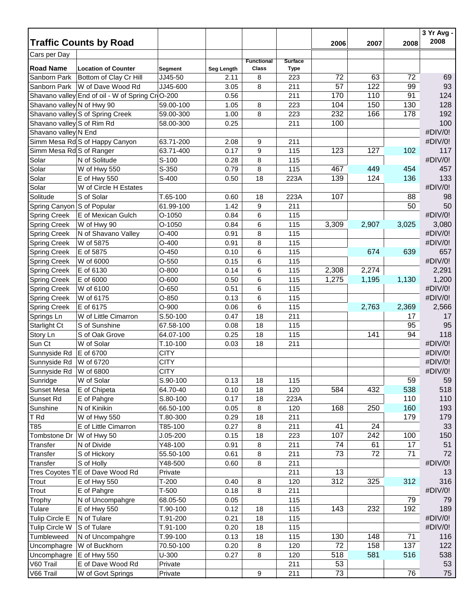|                            | <b>Traffic Counts by Road</b>                    |                  |              |                   |                | 2006  | 2007  | 2008  | 3 Yr Avg -<br>2008 |
|----------------------------|--------------------------------------------------|------------------|--------------|-------------------|----------------|-------|-------|-------|--------------------|
| Cars per Day               |                                                  |                  |              |                   |                |       |       |       |                    |
|                            |                                                  |                  |              | <b>Functional</b> | <b>Surface</b> |       |       |       |                    |
| <b>Road Name</b>           | <b>Location of Counter</b>                       | <b>Segment</b>   | Seg Length   | <b>Class</b>      | <b>Type</b>    |       |       |       |                    |
| Sanborn Park               | Bottom of Clay Cr Hill                           | JJ45-50          | 2.11         | 8                 | 223            | 72    | 63    | 72    | 69                 |
| Sanborn Park               | W of Dave Wood Rd                                | JJ45-600         | 3.05         | 8                 | 211            | 57    | 122   | 99    | 93                 |
|                            | Shavano valley End of oil - W of Spring Cr O-200 |                  | 0.56         |                   | 211            | 170   | 110   | 91    | 124                |
| Shavano valley N of Hwy 90 |                                                  | 59.00-100        | 1.05         | 8                 | 223            | 104   | 150   | 130   | 128                |
|                            | Shavano valley S of Spring Creek                 | 59.00-300        | 1.00         | 8                 | 223            | 232   | 166   | 178   | 192                |
| Shavano valley S of Rim Rd |                                                  | 58.00-300        | 0.25         |                   | 211            | 100   |       |       | 100                |
| Shavano valley N End       |                                                  |                  |              |                   |                |       |       |       | #DIV/0!            |
|                            | Simm Mesa Rd S of Happy Canyon                   | 63.71-200        | 2.08<br>0.17 | 9                 | 211            | 123   | 127   | 102   | #DIV/0!<br>117     |
| Simm Mesa Rd S of Ranger   | N of Solitude                                    | 63.71-400        |              | 9                 | 115            |       |       |       | #DIV/0!            |
| Solar                      |                                                  | $S-100$<br>S-350 | 0.28<br>0.79 | 8                 | 115<br>115     | 467   | 449   | 454   | 457                |
| Solar<br>Solar             | W of Hwy 550<br>E of Hwy 550                     | S-400            | 0.50         | 8<br>18           | 223A           | 139   | 124   | 136   | 133                |
| Solar                      | W of Circle H Estates                            |                  |              |                   |                |       |       |       | #DIV/0!            |
| Solitude                   | S of Solar                                       | $T.65-100$       | 0.60         | 18                | 223A           | 107   |       | 88    | 98                 |
| Spring Canyon S of Popular |                                                  | 61.99-100        | 1.42         | 9                 | 211            |       |       | 50    | 50                 |
| <b>Spring Creek</b>        | E of Mexican Gulch                               | O-1050           | 0.84         | 6                 | 115            |       |       |       | #DIV/0!            |
| <b>Spring Creek</b>        | W of Hwy 90                                      | O-1050           | 0.84         | 6                 | 115            | 3,309 | 2,907 | 3,025 | 3,080              |
| <b>Spring Creek</b>        | N of Shavano Valley                              | $O-400$          | 0.91         | 8                 | 115            |       |       |       | #DIV/0!            |
| <b>Spring Creek</b>        | W of 5875                                        | $O-400$          | 0.91         | 8                 | 115            |       |       |       | #DIV/0!            |
| <b>Spring Creek</b>        | E of 5875                                        | $O-450$          | 0.10         | 6                 | 115            |       | 674   | 639   | 657                |
| <b>Spring Creek</b>        | W of 6000                                        | $O-550$          | 0.15         | 6                 | 115            |       |       |       | #DIV/0!            |
| <b>Spring Creek</b>        | E of 6130                                        | $O-800$          | 0.14         | 6                 | 115            | 2,308 | 2,274 |       | 2,291              |
| <b>Spring Creek</b>        | E of 6000                                        | $O-600$          | 0.50         | 6                 | 115            | 1,275 | 1,195 | 1,130 | 1,200              |
| <b>Spring Creek</b>        | W of 6100                                        | $O-650$          | 0.51         | 6                 | 115            |       |       |       | #DIV/0!            |
| <b>Spring Creek</b>        | W of 6175                                        | $O-850$          | 0.13         | 6                 | 115            |       |       |       | #DIV/0!            |
| <b>Spring Creek</b>        | E of 6175                                        | $O-900$          | 0.06         | 6                 | 115            |       | 2,763 | 2,369 | 2,566              |
| Springs Ln                 | W of Little Cimarron                             | S.50-100         | 0.47         | 18                | 211            |       |       | 17    | 17                 |
| Starlight Ct               | S of Sunshine                                    | 67.58-100        | 0.08         | 18                | 115            |       |       | 95    | 95                 |
| Story Ln                   | S of Oak Grove                                   | 64.07-100        | 0.25         | 18                | 115            |       | 141   | 94    | 118                |
| Sun Ct                     | W of Solar                                       | $T.10-100$       | 0.03         | 18                | 211            |       |       |       | #DIV/0!            |
| Sunnyside Rd               | E of 6700                                        | <b>CITY</b>      |              |                   |                |       |       |       | #DIV/0!            |
| Sunnyside Rd               | W of 6720                                        | <b>CITY</b>      |              |                   |                |       |       |       | #DIV/0!            |
| Sunnyside Rd W of 6800     |                                                  | <b>CITY</b>      |              |                   |                |       |       |       | #DIV/0!            |
| Sunridge                   | W of Solar                                       | S.90-100         | 0.13         | 18                | 115            |       |       | 59    | 59                 |
| <b>Sunset Mesa</b>         | E of Chipeta                                     | 64.70-40         | 0.10         | 18                | 120            | 584   | 432   | 538   | 518                |
| Sunset Rd                  | E of Pahgre                                      | S.80-100         | 0.17         | 18                | 223A           |       |       | 110   | 110                |
| Sunshine                   | N of Kinikin                                     | 66.50-100        | 0.05         | 8                 | 120            | 168   | 250   | 160   | 193                |
| T Rd                       | W of Hwy 550                                     | T.80-300         | 0.29         | 18                | 211            |       |       | 179   | 179                |
| T85                        | E of Little Cimarron                             | T85-100          | 0.27         | 8                 | 211            | 41    | 24    |       | 33                 |
| Tombstone Dr               | W of Hwy 50                                      | $J.05 - 200$     | 0.15         | 18                | 223            | 107   | 242   | 100   | 150                |
| Transfer                   | N of Divide                                      | Y48-100          | 0.91         | 8                 | 211            | 74    | 61    | 17    | 51                 |
| Transfer                   | S of Hickory                                     | 55.50-100        | 0.61         | 8                 | 211            | 73    | 72    | 71    | 72                 |
| Transfer                   | S of Holly                                       | Y48-500          | 0.60         | 8                 | 211            |       |       |       | #DIV/0!            |
|                            | Tres Coyotes T E of Dave Wood Rd                 | Private          |              |                   | 211            | 13    |       |       | 13                 |
| Trout                      | E of Hwy 550                                     | $T-200$          | 0.40         | 8                 | 120            | 312   | 325   | 312   | 316                |
| Trout                      | E of Pahgre                                      | $T-500$          | 0.18         | 8                 | 211            |       |       |       | #DIV/0!            |
| Trophy                     | N of Uncompahgre                                 | 68.05-50         | 0.05         |                   | 115            |       |       | 79    | 79                 |
| Tulare                     | E of Hwy 550                                     | T.90-100         | 0.12         | 18                | 115            | 143   | 232   | 192   | 189                |
| Tulip Circle E             | N of Tulare                                      | T.91-200         | 0.21         | 18                | 115            |       |       |       | #DIV/0!            |
| <b>Tulip Circle W</b>      | S of Tulare                                      | T.91-100         | 0.20         | 18                | 115            |       |       |       | #DIV/0!            |
| Tumbleweed                 | N of Uncompahgre                                 | T.99-100         | 0.13         | 18                | 115            | 130   | 148   | 71    | 116                |
| Uncomphagre                | W of Buckhorn                                    | 70.50-100        | 0.20         | 8                 | 120            | 72    | 158   | 137   | 122                |
| Uncomphagre                | E of Hwy 550                                     | U-300            | 0.27         | 8                 | 120            | 518   | 581   | 516   | 538                |
| V60 Trail                  | E of Dave Wood Rd                                | Private          |              |                   | 211            | 53    |       |       | 53                 |
| V66 Trail                  | W of Govt Springs                                | Private          |              | 9                 | 211            | 73    |       | 76    | 75                 |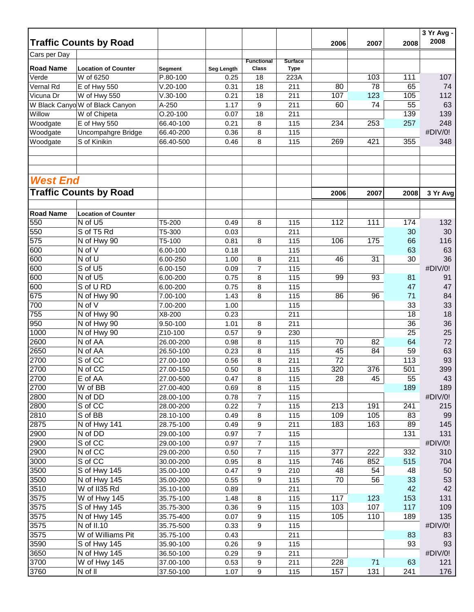|                  | <b>Traffic Counts by Road</b>     |                |                   |                   |                | 2006 | 2007 | 2008            | 3 Yr Avg -<br>2008 |
|------------------|-----------------------------------|----------------|-------------------|-------------------|----------------|------|------|-----------------|--------------------|
| Cars per Day     |                                   |                |                   |                   |                |      |      |                 |                    |
|                  |                                   |                |                   | <b>Functional</b> | <b>Surface</b> |      |      |                 |                    |
| <b>Road Name</b> | <b>Location of Counter</b>        | <b>Segment</b> | <b>Seg Length</b> | <b>Class</b>      | <b>Type</b>    |      |      |                 |                    |
| Verde            | W of 6250                         | P.80-100       | 0.25              | 18                | 223A           |      | 103  | 111             | 107                |
| Vernal Rd        | E of Hwy 550                      | $V.20-100$     | 0.31              | 18                | 211            | 80   | 78   | 65              | 74                 |
| Vicuna Dr        | W of Hwy 550                      | $V.30-100$     | 0.21              | 18                | 211            | 107  | 123  | 105             | 112                |
|                  | W Black Canyo W of Black Canyon   | A-250          | 1.17              | 9                 | 211            | 60   | 74   | 55              | 63                 |
| Willow           | W of Chipeta                      | $O.20 - 100$   | 0.07              | 18                | 211            |      |      | 139             | 139                |
| Woodgate         | E of Hwy 550                      | 66.40-100      | 0.21              | 8                 | 115            | 234  | 253  | 257             | 248                |
| Woodgate         | Uncompahgre Bridge                | 66.40-200      | 0.36              | 8                 | 115            |      |      |                 | #DIV/0!            |
| Woodgate         | S of Kinikin                      | 66.40-500      | 0.46              | 8                 | 115            | 269  | 421  | 355             | 348                |
|                  |                                   |                |                   |                   |                |      |      |                 |                    |
| <b>West End</b>  |                                   |                |                   |                   |                |      |      |                 |                    |
|                  | <b>Traffic Counts by Road</b>     |                |                   |                   |                | 2006 | 2007 | 2008            | 3 Yr Avg           |
| <b>Road Name</b> | <b>Location of Counter</b>        |                |                   |                   |                |      |      |                 |                    |
| 550              | N of U5                           | T5-200         | 0.49              | 8                 | 115            | 112  | 111  | 174             | 132                |
| 550              | S of T5 Rd                        | T5-300         | 0.03              |                   | 211            |      |      | 30              | 30                 |
| 575              | N of Hwy 90                       | T5-100         | 0.81              | 8                 | 115            | 106  | 175  | 66              | 116                |
| 600              | N of V                            | 6.00-100       | 0.18              |                   | 115            |      |      | 63              | 63                 |
| 600              | N of U                            | 6.00-250       | 1.00              | 8                 | 211            | 46   | 31   | 30              | 36                 |
| 600              | S of U5                           | 6.00-150       | 0.09              | 7                 | 115            |      |      |                 | #DIV/0!            |
| 600              | N of U5                           | 6.00-200       | 0.75              | 8                 | 115            | 99   | 93   | 81              | 91                 |
| 600              | S of U RD                         | 6.00-200       | 0.75              |                   |                |      |      | 47              | 47                 |
|                  |                                   |                |                   | 8                 | 115            |      |      |                 |                    |
| 675              | N of Hwy 90<br>N of V             | 7.00-100       | 1.43              | 8                 | 115            | 86   | 96   | 71              | 84                 |
| 700              |                                   | 7.00-200       | 1.00              |                   | 115            |      |      | 33              | 33                 |
| 755              | N of Hwy 90                       | X8-200         | 0.23              |                   | 211            |      |      | 18              | 18                 |
| 950              | N of Hwy 90                       | 9.50-100       | 1.01              | 8                 | 211            |      |      | 36              | 36                 |
| 1000             | N of Hwy 90                       | Z10-100        | 0.57              | 9                 | 230            |      |      | $\overline{25}$ | 25                 |
| 2600             | N of AA                           | 26.00-200      | 0.98              | 8                 | 115            | 70   | 82   | 64              | 72                 |
| 2650             | $\overline{N}$ of $\overline{A}A$ | 26.50-100      | 0.23              | 8                 | 115            | 45   | 84   | 59              | 63                 |
| 2700             | S of CC                           | 27.00-100      | 0.56              | 8                 | 211            | 72   |      | 113             | 93                 |
| 2700             | N of CC                           | 27.00-150      | 0.50              | 8                 | 115            | 320  | 376  | 501             | 399                |
| 2700             | E of AA                           | 27.00-500      | 0.47              | 8                 | 115            | 28   | 45   | 55              | 43                 |
| 2700             | W of BB                           | 27.00-400      | 0.69              | 8                 | 115            |      |      | 189             | 189                |
| 2800             | N of DD                           | 28.00-100      | 0.78              | 7                 | 115            |      |      |                 | #DIV/0!            |
| 2800             | S of CC                           | 28.00-200      | 0.22              | 7                 | 115            | 213  | 191  | 241             | 215                |
| 2810             | S of BB                           | 28.10-100      | 0.49              | 8                 | 115            | 109  | 105  | 83              | 99                 |
| 2875             | N of Hwy 141                      | 28.75-100      | 0.49              | 9                 | 211            | 183  | 163  | 89              | 145                |
| 2900             | N of DD                           | 29.00-100      | 0.97              | 7                 | 115            |      |      | 131             | 131                |
| 2900             | S of CC                           | 29.00-100      | 0.97              | 7                 | 115            |      |      |                 | #DIV/0!            |
| 2900             | N of CC                           | 29.00-200      | 0.50              | 7                 | 115            | 377  | 222  | 332             | 310                |
| 3000             | S of CC                           | 30.00-200      | 0.95              | 8                 | 115            | 746  | 852  | 515             | 704                |
| 3500             | S of Hwy 145                      | 35.00-100      | 0.47              | 9                 | 210            | 48   | 54   | 48              | 50                 |
| 3500             | N of Hwy 145                      | 35.00-200      | 0.55              | 9                 | 115            | 70   | 56   | 33              | 53                 |
| 3510             | $\overline{W}$ of II35 Rd         | 35.10-100      | 0.89              |                   | 211            |      |      | 42              | 42                 |
| 3575             | W of Hwy 145                      | 35.75-100      | 1.48              | 8                 | 115            | 117  | 123  | 153             | 131                |
| 3575             | S of Hwy 145                      | 35.75-300      | 0.36              | 9                 | 115            | 103  | 107  | 117             | 109                |
| 3575             | N of Hwy 145                      | 35.75-400      | 0.07              | 9                 | 115            | 105  | 110  | 189             | 135                |
| 3575             | N of II.10                        | 35.75-500      | 0.33              | 9                 | 115            |      |      |                 | #DIV/0!            |
| 3575             | W of Williams Pit                 | 35.75-100      | 0.43              |                   | 211            |      |      | 83              | 83                 |
| 3590             | S of Hwy 145                      | 35.90-100      | 0.26              | 9                 | 115            |      |      | 93              | 93                 |
| 3650             | N of Hwy 145                      | 36.50-100      | 0.29              | 9                 | 211            |      |      |                 | #DIV/0!            |
| 3700             | W of Hwy 145                      | 37.00-100      | 0.53              | 9                 | 211            | 228  | 71   | 63              | 121                |
| 3760             | N of II                           | 37.50-100      | 1.07              | 9                 | 115            | 157  | 131  | 241             | 176                |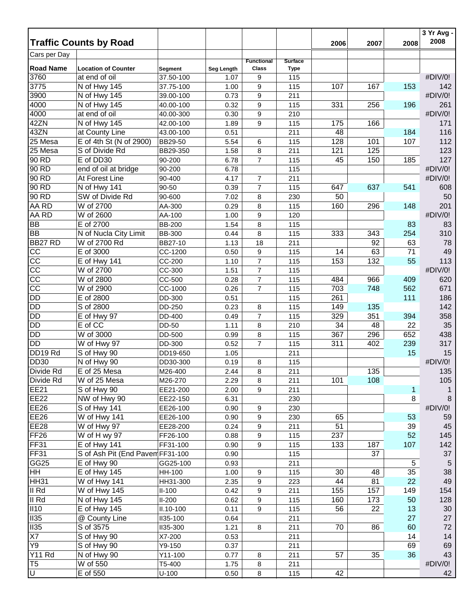|                                  |                                             |                             |                    |                                   |                    |      |      |      | 3 Yr Avg -<br>2008 |
|----------------------------------|---------------------------------------------|-----------------------------|--------------------|-----------------------------------|--------------------|------|------|------|--------------------|
| Cars per Day                     | <b>Traffic Counts by Road</b>               |                             |                    |                                   |                    | 2006 | 2007 | 2008 |                    |
| <b>Road Name</b>                 |                                             |                             |                    | <b>Functional</b><br><b>Class</b> | <b>Surface</b>     |      |      |      |                    |
| 3760                             | <b>Location of Counter</b><br>at end of oil | <b>Segment</b><br>37.50-100 | Seg Length<br>1.07 | 9                                 | <b>Type</b><br>115 |      |      |      | #DIV/0!            |
| 3775                             | N of Hwy 145                                | 37.75-100                   | 1.00               | 9                                 | 115                | 107  | 167  | 153  | 142                |
| 3900                             | N of Hwy 145                                | 39.00-100                   | 0.73               | 9                                 | 211                |      |      |      | #DIV/0!            |
| 4000                             | N of Hwy 145                                | 40.00-100                   | 0.32               | 9                                 | 115                | 331  | 256  | 196  | 261                |
| 4000                             | at end of oil                               | 40.00-300                   | 0.30               | 9                                 | 210                |      |      |      | #DIV/0!            |
| 42ZN                             | N of Hwy 145                                | 42.00-100                   | 1.89               | 9                                 | 115                | 175  | 166  |      | 171                |
| 43ZN                             | at County Line                              | 43.00-100                   | 0.51               |                                   | 211                | 48   |      | 184  | 116                |
| 25 Mesa                          | E of 4th St (N of 2900)                     | BB29-50                     | 5.54               | 6                                 | 115                | 128  | 101  | 107  | 112                |
| 25 Mesa                          | S of Divide Rd                              | BB29-350                    | 1.58               | 8                                 | 211                | 121  | 125  |      | 123                |
| 90 RD                            | E of DD30                                   | 90-200                      | 6.78               | $\overline{7}$                    | 115                | 45   | 150  | 185  | 127                |
| 90 RD                            | end of oil at bridge                        | 90-200                      | 6.78               |                                   | 115                |      |      |      | #DIV/0!            |
| 90 RD                            | At Forest Line                              | 90-400                      | 4.17               | $\overline{7}$                    | 211                |      |      |      | #DIV/0!            |
| 90 RD                            | N of Hwy 141                                | 90-50                       | 0.39               | $\overline{7}$                    | 115                | 647  | 637  | 541  | 608                |
| 90 RD                            | SW of Divide Rd                             | 90-600                      | 7.02               |                                   | 230                | 50   |      |      | 50                 |
| AA RD                            | W of 2700                                   | AA-300                      | 0.29               | 8                                 | 115                | 160  | 296  | 148  | 201                |
| AA RD                            |                                             |                             |                    | 8                                 |                    |      |      |      | #DIV/0!            |
|                                  | W of 2600<br>E of 2700                      | AA-100                      | 1.00               | 9                                 | 120                |      |      |      |                    |
| BB                               |                                             | <b>BB-200</b>               | 1.54               | 8                                 | 115                |      |      | 83   | 83                 |
| <b>BB</b><br>BB <sub>27</sub> RD | N of Nucla City Limit                       | <b>BB-300</b>               | 0.44               | 8                                 | 115                | 333  | 343  | 254  | 310                |
|                                  | W of 2700 Rd                                | BB27-10                     | 1.13               | 18                                | 211                |      | 92   | 63   | 78                 |
| CC                               | E of 3000                                   | CC-1200                     | 0.50               | 9                                 | 115                | 14   | 63   | 71   | 49                 |
| CC<br>$\overline{cc}$            | E of Hwy 141                                | CC-200                      | 1.10               | $\boldsymbol{7}$                  | 115                | 153  | 132  | 55   | 113                |
|                                  | W of 2700                                   | CC-300                      | 1.51               | $\overline{7}$                    | 115                |      |      |      | #DIV/0!            |
| $\overline{cc}$                  | W of 2800                                   | CC-500                      | 0.28               | $\overline{7}$                    | 115                | 484  | 966  | 409  | 620                |
| $\overline{cc}$                  | W of 2900                                   | CC-1000                     | 0.26               | $\overline{7}$                    | 115                | 703  | 748  | 562  | 671                |
| <b>DD</b>                        | E of 2800                                   | DD-300                      | 0.51               |                                   | 115                | 261  |      | 111  | 186                |
| <b>DD</b>                        | S of 2800                                   | DD-250                      | 0.23               | 8                                 | 115                | 149  | 135  |      | 142                |
| <b>DD</b>                        | E of Hwy 97                                 | DD-400                      | 0.49               | $\overline{7}$                    | 115                | 329  | 351  | 394  | 358                |
| <b>DD</b>                        | E of CC                                     | DD-50                       | 1.11               | 8                                 | 210                | 34   | 48   | 22   | 35                 |
| <b>DD</b>                        | W of 3000                                   | DD-500                      | 0.99               | 8                                 | 115                | 367  | 296  | 652  | 438                |
| <b>DD</b>                        | W of Hwy 97                                 | DD-300                      | 0.52               | $\overline{7}$                    | 115                | 311  | 402  | 239  | 317                |
| DD19 Rd                          | S of Hwy 90                                 | DD19-650                    | 1.05               |                                   | 211                |      |      | 15   | 15                 |
| <b>DD30</b>                      | N of Hwy 90                                 | DD30-300                    | 0.19               | 8                                 | 115                |      |      |      | #DIV/0!            |
| Divide Rd                        | E of 25 Mesa                                | M26-400                     | 2.44               | 8                                 | 211                |      | 135  |      | 135                |
| Divide Rd                        | W of 25 Mesa                                | M26-270                     | 2.29               | 8                                 | 211                | 101  | 108  |      | 105                |
| <b>EE21</b>                      | S of Hwy 90                                 | EE21-200                    | 2.00               | 9                                 | 211                |      |      | 1    | 1                  |
| <b>EE22</b>                      | NW of Hwy 90                                | EE22-150                    | 6.31               |                                   | 230                |      |      | 8    | 8                  |
| <b>EE26</b>                      | S of Hwy 141                                | EE26-100                    | 0.90               | $\boldsymbol{9}$                  | 230                |      |      |      | #DIV/0!            |
| <b>EE26</b>                      | W of Hwy $\overline{141}$                   | EE26-100                    | 0.90               | 9                                 | 230                | 65   |      | 53   | 59                 |
| <b>EE28</b>                      | W of Hwy 97                                 | EE28-200                    | 0.24               | 9                                 | 211                | 51   |      | 39   | 45                 |
| FF <sub>26</sub>                 | W of H wy 97                                | FF26-100                    | 0.88               | 9                                 | 115                | 237  |      | 52   | 145                |
| <b>FF31</b>                      | E of Hwy 141                                | FF31-100                    | 0.90               | 9                                 | 115                | 133  | 187  | 107  | 142                |
| <b>FF31</b>                      | S of Ash Pit (End Pavem FF31-100            |                             | 0.90               |                                   | 115                |      | 37   |      | 37                 |
| GG <sub>25</sub>                 | E of Hwy 90                                 | GG25-100                    | 0.93               |                                   | 211                |      |      | 5    | $\overline{5}$     |
| HH                               | E of Hwy 145                                | HH-100                      | 1.00               | 9                                 | 115                | 30   | 48   | 35   | 38                 |
| HH31                             | W of Hwy 141                                | HH31-300                    | 2.35               | 9                                 | 223                | 44   | 81   | 22   | 49                 |
| II Rd                            | W of Hwy 145                                | $II-100$                    | 0.42               | 9                                 | 211                | 155  | 157  | 149  | 154                |
| $\overline{\mathsf{II}$ Rd       | N of Hwy 145                                | $II-200$                    | 0.62               | 9                                 | 115                | 160  | 173  | 50   | 128                |
| II10                             | E of Hwy 145                                | II.10-100                   | 0.11               | 9                                 | 115                | 56   | 22   | 13   | 30                 |
| II35                             | @ County Line                               | II35-100                    | 0.64               |                                   | 211                |      |      | 27   | 27                 |
| II35                             | S of 3575                                   | <b>II35-300</b>             | 1.21               | 8                                 | 211                | 70   | 86   | 60   | 72                 |
| X7                               | S of Hwy 90                                 | X7-200                      | 0.53               |                                   | 211                |      |      | 14   | 14                 |
| Y9                               | S of Hwy 90                                 | Y9-150                      | 0.37               |                                   | 211                |      |      | 69   | 69                 |
| <b>Y11 Rd</b>                    | N of Hwy 90                                 | Y11-100                     | 0.77               | 8                                 | 211                | 57   | 35   | 36   | 43                 |
| T <sub>5</sub>                   | W of 550                                    | T5-400                      | 1.75               | 8                                 | 211                |      |      |      | #DIV/0!            |
| Þ                                | E of 550                                    | $U - 100$                   | 0.50               | 8                                 | 115                | 42   |      |      | 42                 |